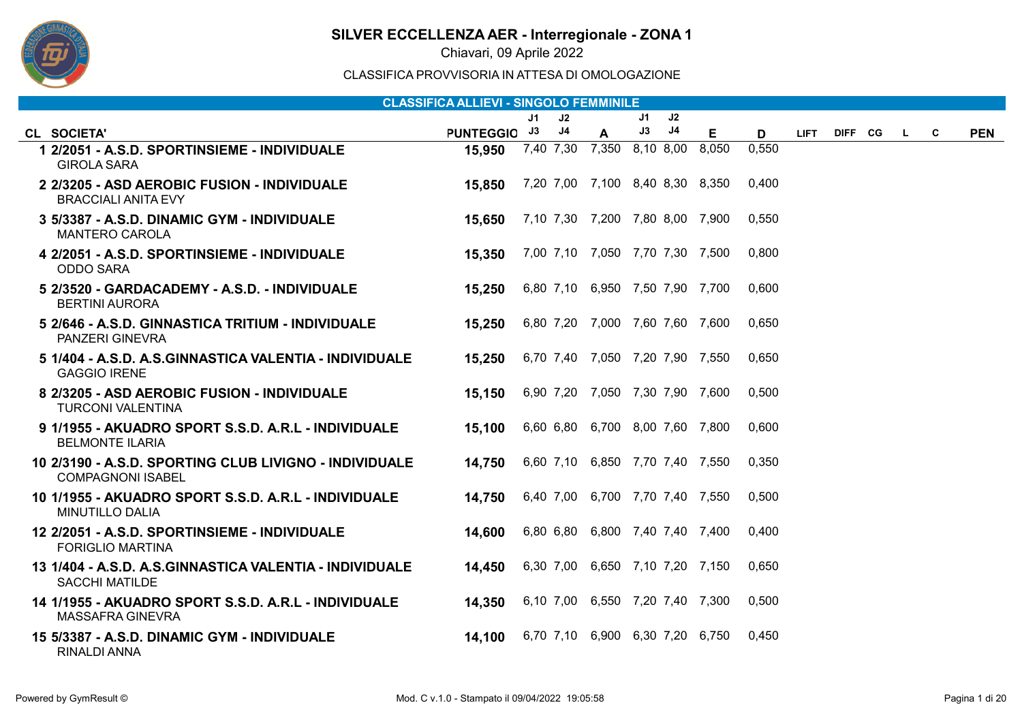

Chiavari, 09 Aprile 2022

|                                                                                    | <b>CLASSIFICA ALLIEVI - SINGOLO FEMMINILE</b> |     |                |                                 |    |    |       |       |             |         |          |   |            |
|------------------------------------------------------------------------------------|-----------------------------------------------|-----|----------------|---------------------------------|----|----|-------|-------|-------------|---------|----------|---|------------|
|                                                                                    |                                               | J1. | J2             |                                 | J1 | J2 |       |       |             |         |          |   |            |
| CL SOCIETA'                                                                        | PUNTEGGIO J3                                  |     | J <sub>4</sub> | $\mathbf{A}$                    | J3 | J4 | E.    | D     | <b>LIFT</b> | DIFF CG | <b>L</b> | C | <b>PEN</b> |
| 1 2/2051 - A.S.D. SPORTINSIEME - INDIVIDUALE<br><b>GIROLA SARA</b>                 | 15,950                                        |     |                | 7,40 7,30 7,350 8,10 8,00       |    |    | 8,050 | 0,550 |             |         |          |   |            |
| 2 2/3205 - ASD AEROBIC FUSION - INDIVIDUALE<br><b>BRACCIALI ANITA EVY</b>          | 15,850                                        |     |                | 7,20 7,00 7,100 8,40 8,30 8,350 |    |    |       | 0,400 |             |         |          |   |            |
| 3 5/3387 - A.S.D. DINAMIC GYM - INDIVIDUALE<br><b>MANTERO CAROLA</b>               | 15,650                                        |     |                | 7,10 7,30 7,200 7,80 8,00 7,900 |    |    |       | 0,550 |             |         |          |   |            |
| 4 2/2051 - A.S.D. SPORTINSIEME - INDIVIDUALE<br><b>ODDO SARA</b>                   | 15,350                                        |     |                | 7,00 7,10 7,050 7,70 7,30 7,500 |    |    |       | 0,800 |             |         |          |   |            |
| 5 2/3520 - GARDACADEMY - A.S.D. - INDIVIDUALE<br><b>BERTINI AURORA</b>             | 15,250                                        |     |                | 6,80 7,10 6,950 7,50 7,90 7,700 |    |    |       | 0,600 |             |         |          |   |            |
| 5 2/646 - A.S.D. GINNASTICA TRITIUM - INDIVIDUALE<br>PANZERI GINEVRA               | 15,250                                        |     |                | 6,80 7,20 7,000 7,60 7,60 7,600 |    |    |       | 0,650 |             |         |          |   |            |
| 5 1/404 - A.S.D. A.S.GINNASTICA VALENTIA - INDIVIDUALE<br><b>GAGGIO IRENE</b>      | 15,250                                        |     |                | 6,70 7,40 7,050 7,20 7,90 7,550 |    |    |       | 0,650 |             |         |          |   |            |
| 8 2/3205 - ASD AEROBIC FUSION - INDIVIDUALE<br><b>TURCONI VALENTINA</b>            | 15,150                                        |     |                | 6,90 7,20 7,050 7,30 7,90 7,600 |    |    |       | 0,500 |             |         |          |   |            |
| 9 1/1955 - AKUADRO SPORT S.S.D. A.R.L - INDIVIDUALE<br><b>BELMONTE ILARIA</b>      | 15,100                                        |     |                | 6,60 6,80 6,700 8,00 7,60 7,800 |    |    |       | 0,600 |             |         |          |   |            |
| 10 2/3190 - A.S.D. SPORTING CLUB LIVIGNO - INDIVIDUALE<br><b>COMPAGNONI ISABEL</b> | 14,750                                        |     |                | 6,60 7,10 6,850 7,70 7,40 7,550 |    |    |       | 0,350 |             |         |          |   |            |
| 10 1/1955 - AKUADRO SPORT S.S.D. A.R.L - INDIVIDUALE<br><b>MINUTILLO DALIA</b>     | 14.750                                        |     |                | 6,40 7,00 6,700 7,70 7,40 7,550 |    |    |       | 0,500 |             |         |          |   |            |
| 12 2/2051 - A.S.D. SPORTINSIEME - INDIVIDUALE<br><b>FORIGLIO MARTINA</b>           | 14,600                                        |     |                | 6,80 6,80 6,800 7,40 7,40 7,400 |    |    |       | 0.400 |             |         |          |   |            |
| 13 1/404 - A.S.D. A.S.GINNASTICA VALENTIA - INDIVIDUALE<br><b>SACCHI MATILDE</b>   | 14,450                                        |     |                | 6,30 7,00 6,650 7,10 7,20 7,150 |    |    |       | 0,650 |             |         |          |   |            |
| 14 1/1955 - AKUADRO SPORT S.S.D. A.R.L - INDIVIDUALE<br><b>MASSAFRA GINEVRA</b>    | 14,350                                        |     |                | 6,10 7,00 6,550 7,20 7,40 7,300 |    |    |       | 0,500 |             |         |          |   |            |
| 15 5/3387 - A.S.D. DINAMIC GYM - INDIVIDUALE<br><b>RINALDI ANNA</b>                | 14.100                                        |     |                | 6,70 7,10 6,900 6,30 7,20 6,750 |    |    |       | 0,450 |             |         |          |   |            |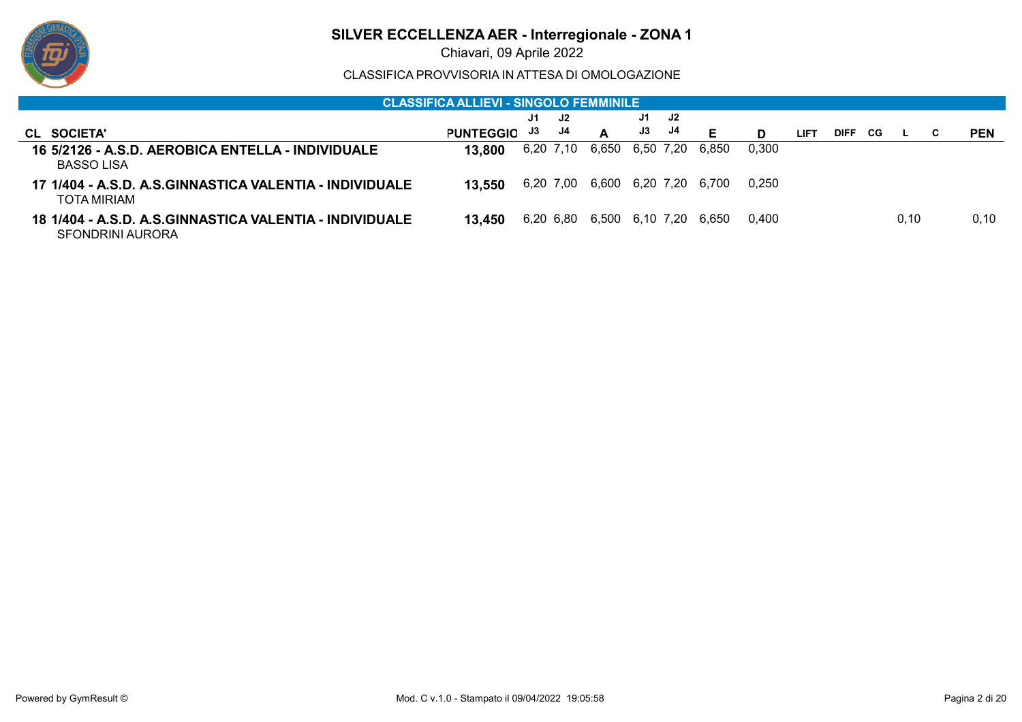

Chiavari, 09 Aprile 2022

|                                                                             | <u> CLASSIFICA ALLIEVI - SINGOLO FEMMINILE ,</u> |           |           |                           |    |     |       |       |      |             |     |      |            |
|-----------------------------------------------------------------------------|--------------------------------------------------|-----------|-----------|---------------------------|----|-----|-------|-------|------|-------------|-----|------|------------|
|                                                                             |                                                  | J1.       | J2.       |                           | J1 | J2. |       |       |      |             |     |      |            |
| CL SOCIETA'                                                                 | <b>PUNTEGGIO</b>                                 | J3        | J4        | A                         | J3 | J4  | Е     | D     | LIFT | <b>DIFF</b> | CG. |      | <b>PEN</b> |
| 16 5/2126 - A.S.D. AEROBICA ENTELLA - INDIVIDUALE<br><b>BASSO LISA</b>      | 13.800                                           | 6,20 7,10 |           | 6,650 6,50 7,20           |    |     | 6.850 | 0,300 |      |             |     |      |            |
| 17 1/404 - A.S.D. A.S.GINNASTICA VALENTIA - INDIVIDUALE<br>TOTA MIRIAM      | 13.550                                           |           | 6,20 7,00 | 6,600 6,20 7,20           |    |     | 6.700 | 0.250 |      |             |     |      |            |
| 18 1/404 - A.S.D. A.S.GINNASTICA VALENTIA - INDIVIDUALE<br>SFONDRINI AURORA | 13.450                                           |           |           | 6,20 6,80 6,500 6,10 7,20 |    |     | 6.650 | 0.400 |      |             |     | 0,10 | 0,10       |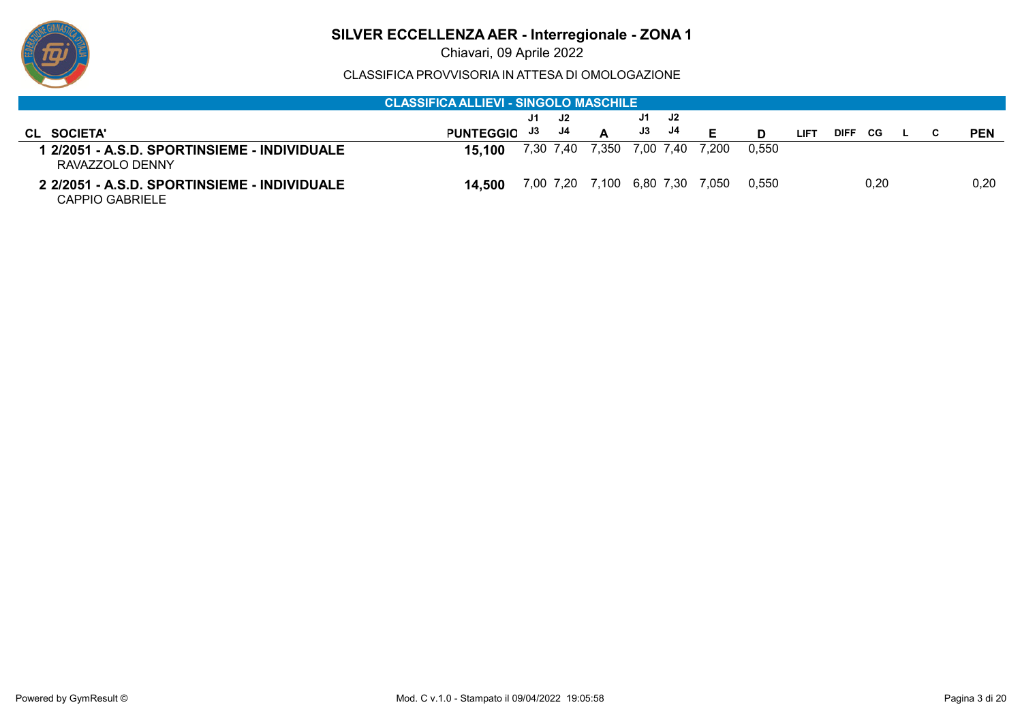

Chiavari, 09 Aprile 2022

|                                                                 | <b>CLASSIFICA ALLIEVI - SINGOLO MASCHILE .</b> |                 |                                 |       |       |      |                    |      |  |            |
|-----------------------------------------------------------------|------------------------------------------------|-----------------|---------------------------------|-------|-------|------|--------------------|------|--|------------|
|                                                                 |                                                | J1.<br>- J2     | J1<br>J2.                       |       |       |      |                    |      |  |            |
| CL SOCIETA'                                                     | <b>PUNTEGGIO</b>                               | J4<br>J3        | J4<br>J3                        | Е     |       | LIFT | <b>DIFF</b><br>CG. |      |  | <b>PEN</b> |
| RAVAZZOLO DENNY                                                 | 15.100                                         | 7,30 7,40 7,350 | 7,00 7,40                       | 7.200 | 0,550 |      |                    |      |  |            |
| 2 2/2051 - A.S.D. SPORTINSIEME - INDIVIDUALE<br>CAPPIO GABRIELE | 14.500                                         |                 | 7,00 7,20 7,100 6,80 7,30 7,050 |       | 0.550 |      |                    | 0.20 |  | 0,20       |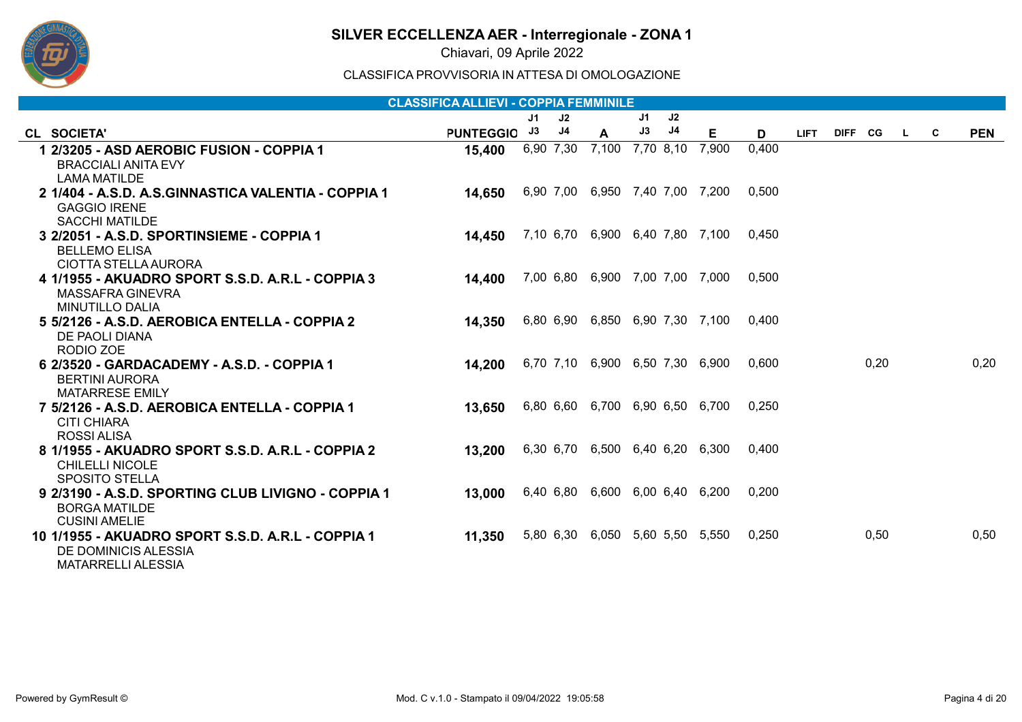

Chiavari, 09 Aprile 2022

|                                                     | <b>CLASSIFICA ALLIEVI - COPPIA FEMMINILE</b> |    |           |                                 |    |           |                                       |       |             |           |     |            |
|-----------------------------------------------------|----------------------------------------------|----|-----------|---------------------------------|----|-----------|---------------------------------------|-------|-------------|-----------|-----|------------|
|                                                     |                                              | J1 | J2        |                                 | J1 | J2        |                                       |       |             |           |     |            |
| CL SOCIETA'                                         | <b>PUNTEGGIO</b>                             | J3 | J4        | A                               | J3 | J4        | E                                     | D     | <b>LIFT</b> | DIFF CG L | - C | <b>PEN</b> |
| 1 2/3205 - ASD AEROBIC FUSION - COPPIA 1            | 15,400                                       |    | 6,90 7,30 | 7,100                           |    | 7,70 8,10 | 7,900                                 | 0,400 |             |           |     |            |
| <b>BRACCIALI ANITA EVY</b>                          |                                              |    |           |                                 |    |           |                                       |       |             |           |     |            |
| LAMA MATILDE                                        |                                              |    |           |                                 |    |           |                                       |       |             |           |     |            |
| 2 1/404 - A.S.D. A.S.GINNASTICA VALENTIA - COPPIA 1 | 14,650                                       |    |           | 6,90 7,00 6,950 7,40 7,00 7,200 |    |           |                                       | 0,500 |             |           |     |            |
| <b>GAGGIO IRENE</b>                                 |                                              |    |           |                                 |    |           |                                       |       |             |           |     |            |
| <b>SACCHI MATILDE</b>                               |                                              |    |           |                                 |    |           |                                       |       |             |           |     |            |
| 3 2/2051 - A.S.D. SPORTINSIEME - COPPIA 1           | 14,450                                       |    |           |                                 |    |           | 7,10 6,70 6,900 6,40 7,80 7,100 0,450 |       |             |           |     |            |
| <b>BELLEMO ELISA</b>                                |                                              |    |           |                                 |    |           |                                       |       |             |           |     |            |
| CIOTTA STELLA AURORA                                |                                              |    |           |                                 |    |           |                                       |       |             |           |     |            |
| 4 1/1955 - AKUADRO SPORT S.S.D. A.R.L - COPPIA 3    | 14,400                                       |    |           | 7,00 6,80 6,900 7,00 7,00 7,000 |    |           |                                       | 0,500 |             |           |     |            |
| MASSAFRA GINEVRA                                    |                                              |    |           |                                 |    |           |                                       |       |             |           |     |            |
| <b>MINUTILLO DALIA</b>                              |                                              |    |           |                                 |    |           |                                       |       |             |           |     |            |
| 5 5/2126 - A.S.D. AEROBICA ENTELLA - COPPIA 2       | 14,350                                       |    |           |                                 |    |           | 6,80 6,90 6,850 6,90 7,30 7,100 0,400 |       |             |           |     |            |
| DE PAOLI DIANA<br>RODIO ZOE                         |                                              |    |           |                                 |    |           |                                       |       |             |           |     |            |
| 6 2/3520 - GARDACADEMY - A.S.D. - COPPIA 1          |                                              |    |           | 6,70 7,10 6,900 6,50 7,30 6,900 |    |           |                                       | 0,600 |             | 0,20      |     | 0,20       |
|                                                     | 14,200                                       |    |           |                                 |    |           |                                       |       |             |           |     |            |
| <b>BERTINI AURORA</b><br><b>MATARRESE EMILY</b>     |                                              |    |           |                                 |    |           |                                       |       |             |           |     |            |
| 7 5/2126 - A.S.D. AEROBICA ENTELLA - COPPIA 1       | 13,650                                       |    |           |                                 |    |           | 6,80 6,60 6,700 6,90 6,50 6,700       | 0.250 |             |           |     |            |
| CITI CHIARA                                         |                                              |    |           |                                 |    |           |                                       |       |             |           |     |            |
| ROSSI ALISA                                         |                                              |    |           |                                 |    |           |                                       |       |             |           |     |            |
| 8 1/1955 - AKUADRO SPORT S.S.D. A.R.L - COPPIA 2    | 13,200                                       |    |           |                                 |    |           | 6,30 6,70 6,500 6,40 6,20 6,300       | 0.400 |             |           |     |            |
| <b>CHILELLI NICOLE</b>                              |                                              |    |           |                                 |    |           |                                       |       |             |           |     |            |
| <b>SPOSITO STELLA</b>                               |                                              |    |           |                                 |    |           |                                       |       |             |           |     |            |
| 9 2/3190 - A.S.D. SPORTING CLUB LIVIGNO - COPPIA 1  | 13,000                                       |    |           | 6,40 6,80 6,600 6,00 6,40 6,200 |    |           |                                       | 0.200 |             |           |     |            |
| <b>BORGA MATILDE</b>                                |                                              |    |           |                                 |    |           |                                       |       |             |           |     |            |
| <b>CUSINI AMELIE</b>                                |                                              |    |           |                                 |    |           |                                       |       |             |           |     |            |
| 10 1/1955 - AKUADRO SPORT S.S.D. A.R.L - COPPIA 1   | 11,350                                       |    |           |                                 |    |           | 5,80 6,30 6,050 5,60 5,50 5,550       | 0,250 |             | 0,50      |     | 0,50       |
| DE DOMINICIS ALESSIA                                |                                              |    |           |                                 |    |           |                                       |       |             |           |     |            |
| <b>MATARRELLI ALESSIA</b>                           |                                              |    |           |                                 |    |           |                                       |       |             |           |     |            |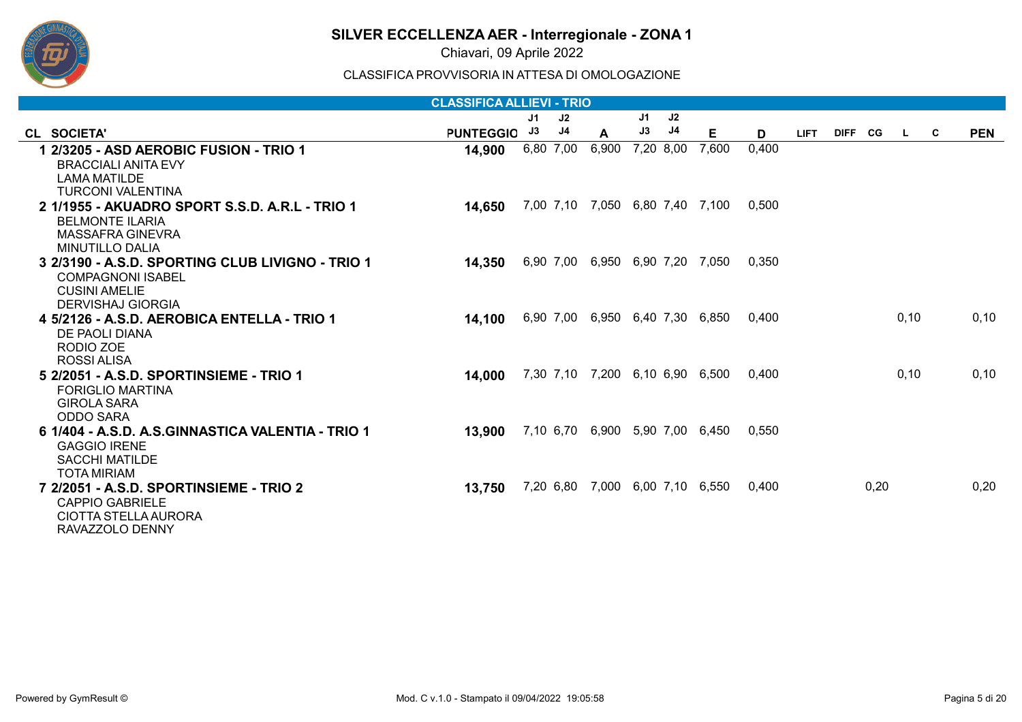

Chiavari, 09 Aprile 2022

|                                                   | <b>CLASSIFICA ALLIEVI - TRIO</b> |                |           |                                 |    |           |                                 |       |             |           |      |          |            |
|---------------------------------------------------|----------------------------------|----------------|-----------|---------------------------------|----|-----------|---------------------------------|-------|-------------|-----------|------|----------|------------|
|                                                   |                                  | J <sub>1</sub> | J2        |                                 | J1 | J2        |                                 |       |             |           |      |          |            |
| CL SOCIETA'                                       | <b>PUNTEGGIO</b>                 | J3             | J4        | A                               | J3 | J4        | Е                               | D     | <b>LIFT</b> | DIFF CG L |      | <b>C</b> | <b>PEN</b> |
| 1 2/3205 - ASD AEROBIC FUSION - TRIO 1            | 14,900                           |                | 6,80 7,00 | 6,900                           |    | 7,20 8,00 | 7,600                           | 0,400 |             |           |      |          |            |
| <b>BRACCIALI ANITA EVY</b>                        |                                  |                |           |                                 |    |           |                                 |       |             |           |      |          |            |
| <b>LAMA MATILDE</b>                               |                                  |                |           |                                 |    |           |                                 |       |             |           |      |          |            |
| <b>TURCONI VALENTINA</b>                          |                                  |                |           |                                 |    |           |                                 |       |             |           |      |          |            |
| 2 1/1955 - AKUADRO SPORT S.S.D. A.R.L - TRIO 1    | 14,650                           |                |           | 7,00 7,10 7,050 6,80 7,40 7,100 |    |           |                                 | 0.500 |             |           |      |          |            |
| <b>BELMONTE ILARIA</b>                            |                                  |                |           |                                 |    |           |                                 |       |             |           |      |          |            |
| MASSAFRA GINEVRA                                  |                                  |                |           |                                 |    |           |                                 |       |             |           |      |          |            |
| <b>MINUTILLO DALIA</b>                            |                                  |                |           |                                 |    |           |                                 |       |             |           |      |          |            |
| 3 2/3190 - A.S.D. SPORTING CLUB LIVIGNO - TRIO 1  | 14,350                           |                |           | 6,90 7,00 6,950 6,90 7,20 7,050 |    |           |                                 | 0,350 |             |           |      |          |            |
| <b>COMPAGNONI ISABEL</b>                          |                                  |                |           |                                 |    |           |                                 |       |             |           |      |          |            |
| <b>CUSINI AMELIE</b>                              |                                  |                |           |                                 |    |           |                                 |       |             |           |      |          |            |
| <b>DERVISHAJ GIORGIA</b>                          |                                  |                |           |                                 |    |           |                                 |       |             |           |      |          |            |
| 4 5/2126 - A.S.D. AEROBICA ENTELLA - TRIO 1       | 14,100                           |                |           | 6,90 7,00 6,950 6,40 7,30 6,850 |    |           |                                 | 0.400 |             |           | 0,10 |          | 0.10       |
| DE PAOLI DIANA                                    |                                  |                |           |                                 |    |           |                                 |       |             |           |      |          |            |
| RODIO ZOE                                         |                                  |                |           |                                 |    |           |                                 |       |             |           |      |          |            |
| ROSSI ALISA                                       |                                  |                |           |                                 |    |           |                                 |       |             |           |      |          |            |
| 5 2/2051 - A.S.D. SPORTINSIEME - TRIO 1           | 14,000                           |                |           | 7,30 7,10 7,200 6,10 6,90 6,500 |    |           |                                 | 0.400 |             |           | 0,10 |          | 0, 10      |
| <b>FORIGLIO MARTINA</b>                           |                                  |                |           |                                 |    |           |                                 |       |             |           |      |          |            |
| <b>GIROLA SARA</b>                                |                                  |                |           |                                 |    |           |                                 |       |             |           |      |          |            |
| <b>ODDO SARA</b>                                  |                                  |                |           |                                 |    |           |                                 |       |             |           |      |          |            |
| 6 1/404 - A.S.D. A.S.GINNASTICA VALENTIA - TRIO 1 | 13,900                           |                |           |                                 |    |           | 7,10 6,70 6,900 5,90 7,00 6,450 | 0,550 |             |           |      |          |            |
| <b>GAGGIO IRENE</b>                               |                                  |                |           |                                 |    |           |                                 |       |             |           |      |          |            |
| <b>SACCHI MATILDE</b><br><b>TOTA MIRIAM</b>       |                                  |                |           |                                 |    |           |                                 |       |             |           |      |          |            |
|                                                   |                                  |                |           |                                 |    |           | 7,20 6,80 7,000 6,00 7,10 6,550 | 0.400 |             | 0,20      |      |          | 0,20       |
|                                                   | 13,750                           |                |           |                                 |    |           |                                 |       |             |           |      |          |            |
| <b>CAPPIO GABRIELE</b><br>CIOTTA STELLA AURORA    |                                  |                |           |                                 |    |           |                                 |       |             |           |      |          |            |
| RAVAZZOLO DENNY                                   |                                  |                |           |                                 |    |           |                                 |       |             |           |      |          |            |
|                                                   |                                  |                |           |                                 |    |           |                                 |       |             |           |      |          |            |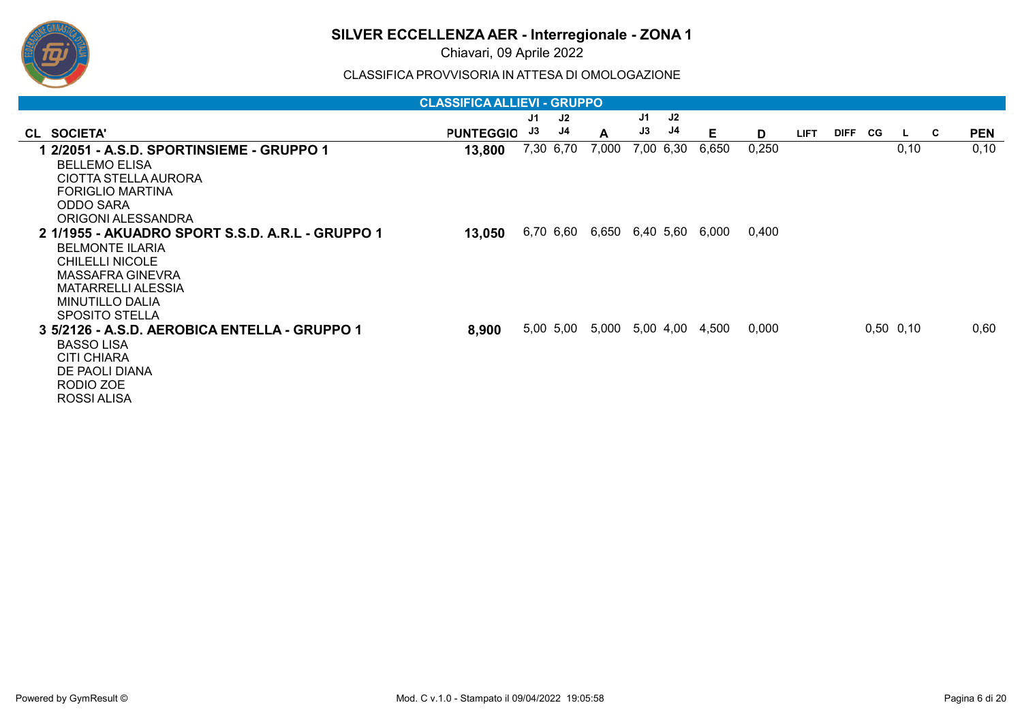

Chiavari, 09 Aprile 2022

|                                                  | <b>CLASSIFICA ALLIEVI - GRUPPO</b> |    |           |                 |    |           |       |       |             |                |               |          |            |
|--------------------------------------------------|------------------------------------|----|-----------|-----------------|----|-----------|-------|-------|-------------|----------------|---------------|----------|------------|
|                                                  |                                    | J1 | J2        |                 | J1 | J2        |       |       |             |                |               |          |            |
| CL SOCIETA'                                      | <b>PUNTEGGIO</b>                   | J3 | J4        | A               | J3 | J4        | Е     | D     | <b>LIFT</b> | <b>DIFF</b> CG | $\mathsf{L}$  | <b>C</b> | <b>PEN</b> |
| 1 2/2051 - A.S.D. SPORTINSIEME - GRUPPO 1        | 13,800                             |    | 7,30 6,70 | 7,000           |    | 7,00 6,30 | 6,650 | 0,250 |             |                | 0, 10         |          | 0, 10      |
| <b>BELLEMO ELISA</b>                             |                                    |    |           |                 |    |           |       |       |             |                |               |          |            |
| CIOTTA STELLA AURORA                             |                                    |    |           |                 |    |           |       |       |             |                |               |          |            |
| <b>FORIGLIO MARTINA</b>                          |                                    |    |           |                 |    |           |       |       |             |                |               |          |            |
| <b>ODDO SARA</b>                                 |                                    |    |           |                 |    |           |       |       |             |                |               |          |            |
| ORIGONI ALESSANDRA                               |                                    |    |           |                 |    |           |       |       |             |                |               |          |            |
| 2 1/1955 - AKUADRO SPORT S.S.D. A.R.L - GRUPPO 1 | 13,050                             |    | 6,70 6,60 | 6,650 6,40 5,60 |    |           | 6,000 | 0,400 |             |                |               |          |            |
| <b>BELMONTE ILARIA</b>                           |                                    |    |           |                 |    |           |       |       |             |                |               |          |            |
| <b>CHILELLI NICOLE</b>                           |                                    |    |           |                 |    |           |       |       |             |                |               |          |            |
| MASSAFRA GINEVRA                                 |                                    |    |           |                 |    |           |       |       |             |                |               |          |            |
| <b>MATARRELLI ALESSIA</b>                        |                                    |    |           |                 |    |           |       |       |             |                |               |          |            |
| <b>MINUTILLO DALIA</b>                           |                                    |    |           |                 |    |           |       |       |             |                |               |          |            |
| <b>SPOSITO STELLA</b>                            |                                    |    |           |                 |    |           |       |       |             |                |               |          |            |
| 3 5/2126 - A.S.D. AEROBICA ENTELLA - GRUPPO 1    | 8,900                              |    | 5,00 5,00 | 5,000           |    | 5,00 4,00 | 4,500 | 0,000 |             |                | $0,50$ $0,10$ |          | 0,60       |
| <b>BASSO LISA</b>                                |                                    |    |           |                 |    |           |       |       |             |                |               |          |            |
| CITI CHIARA                                      |                                    |    |           |                 |    |           |       |       |             |                |               |          |            |
| DE PAOLI DIANA                                   |                                    |    |           |                 |    |           |       |       |             |                |               |          |            |
| RODIO ZOE                                        |                                    |    |           |                 |    |           |       |       |             |                |               |          |            |
| ROSSI ALISA                                      |                                    |    |           |                 |    |           |       |       |             |                |               |          |            |
|                                                  |                                    |    |           |                 |    |           |       |       |             |                |               |          |            |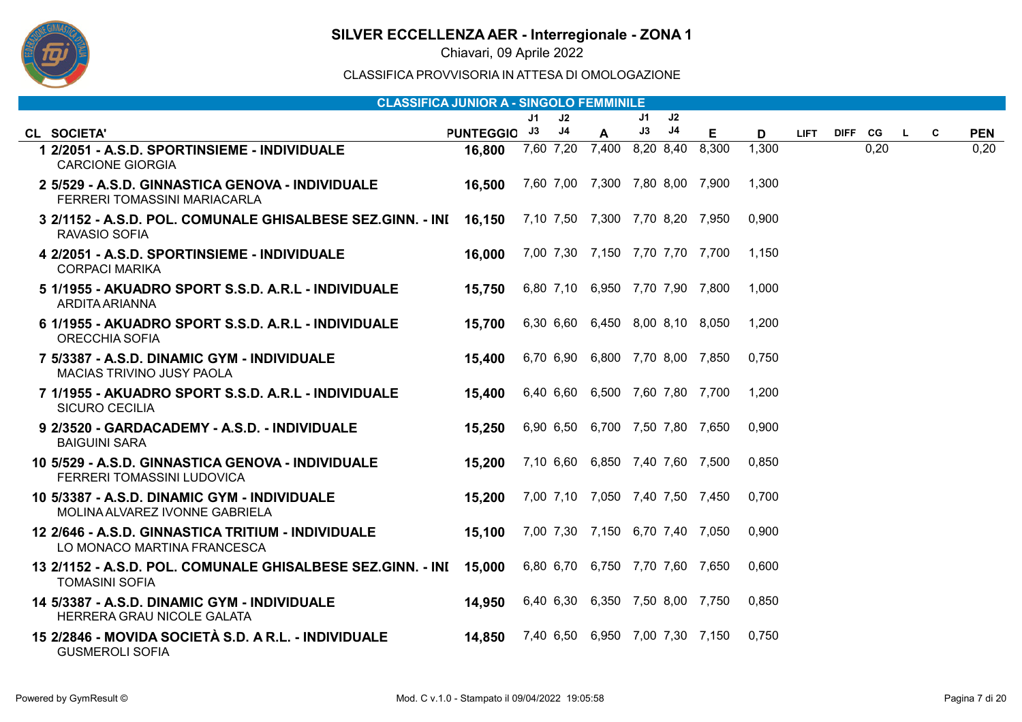

Chiavari, 09 Aprile 2022

|                                                                                             | <b>CLASSIFICA JUNIOR A - SINGOLO FEMMINILE</b> |    |                |                                 |    |    |       |       |             |         |      |    |   |            |
|---------------------------------------------------------------------------------------------|------------------------------------------------|----|----------------|---------------------------------|----|----|-------|-------|-------------|---------|------|----|---|------------|
|                                                                                             |                                                | J1 | J2             |                                 | J1 | J2 |       |       |             |         |      |    |   |            |
| <b>CL SOCIETA'</b>                                                                          | PUNTEGGIO J3                                   |    | J <sub>4</sub> | A                               | J3 | J4 | Е     | D     | <b>LIFT</b> | DIFF CG |      | L. | C | <b>PEN</b> |
| 1 2/2051 - A.S.D. SPORTINSIEME - INDIVIDUALE<br><b>CARCIONE GIORGIA</b>                     | 16,800                                         |    | 7,60 7,20      | 7,400 8,20 8,40                 |    |    | 8,300 | 1,300 |             |         | 0,20 |    |   | 0,20       |
| 2 5/529 - A.S.D. GINNASTICA GENOVA - INDIVIDUALE<br>FERRERI TOMASSINI MARIACARLA            | 16,500                                         |    |                | 7,60 7,00 7,300 7,80 8,00 7,900 |    |    |       | 1,300 |             |         |      |    |   |            |
| 3 2/1152 - A.S.D. POL. COMUNALE GHISALBESE SEZ.GINN. - INI 16,150<br>RAVASIO SOFIA          |                                                |    |                | 7,10 7,50 7,300 7,70 8,20 7,950 |    |    |       | 0,900 |             |         |      |    |   |            |
| 4 2/2051 - A.S.D. SPORTINSIEME - INDIVIDUALE<br><b>CORPACI MARIKA</b>                       | 16,000                                         |    |                | 7,00 7,30 7,150 7,70 7,70 7,700 |    |    |       | 1.150 |             |         |      |    |   |            |
| 5 1/1955 - AKUADRO SPORT S.S.D. A.R.L - INDIVIDUALE<br>ARDITA ARIANNA                       | 15,750                                         |    |                | 6,80 7,10 6,950 7,70 7,90 7,800 |    |    |       | 1,000 |             |         |      |    |   |            |
| 6 1/1955 - AKUADRO SPORT S.S.D. A.R.L - INDIVIDUALE<br><b>ORECCHIA SOFIA</b>                | 15,700                                         |    |                | 6,30 6,60 6,450 8,00 8,10 8,050 |    |    |       | 1,200 |             |         |      |    |   |            |
| 7 5/3387 - A.S.D. DINAMIC GYM - INDIVIDUALE<br><b>MACIAS TRIVINO JUSY PAOLA</b>             | 15,400                                         |    |                | 6,70 6,90 6,800 7,70 8,00 7,850 |    |    |       | 0.750 |             |         |      |    |   |            |
| 7 1/1955 - AKUADRO SPORT S.S.D. A.R.L - INDIVIDUALE<br><b>SICURO CECILIA</b>                | 15,400                                         |    |                | 6,40 6,60 6,500 7,60 7,80 7,700 |    |    |       | 1,200 |             |         |      |    |   |            |
| 9 2/3520 - GARDACADEMY - A.S.D. - INDIVIDUALE<br><b>BAIGUINI SARA</b>                       | 15,250                                         |    |                | 6,90 6,50 6,700 7,50 7,80 7,650 |    |    |       | 0,900 |             |         |      |    |   |            |
| 10 5/529 - A.S.D. GINNASTICA GENOVA - INDIVIDUALE<br>FERRERI TOMASSINI LUDOVICA             | 15,200                                         |    |                | 7,10 6,60 6,850 7,40 7,60 7,500 |    |    |       | 0.850 |             |         |      |    |   |            |
| 10 5/3387 - A.S.D. DINAMIC GYM - INDIVIDUALE<br>MOLINA ALVAREZ IVONNE GABRIELA              | 15,200                                         |    |                | 7,00 7,10 7,050 7,40 7,50 7,450 |    |    |       | 0,700 |             |         |      |    |   |            |
| 12 2/646 - A.S.D. GINNASTICA TRITIUM - INDIVIDUALE<br>LO MONACO MARTINA FRANCESCA           | 15,100                                         |    |                | 7,00 7,30 7,150 6,70 7,40 7,050 |    |    |       | 0.900 |             |         |      |    |   |            |
| 13 2/1152 - A.S.D. POL. COMUNALE GHISALBESE SEZ.GINN. - INI 15,000<br><b>TOMASINI SOFIA</b> |                                                |    |                | 6,80 6,70 6,750 7,70 7,60 7,650 |    |    |       | 0.600 |             |         |      |    |   |            |
| 14 5/3387 - A.S.D. DINAMIC GYM - INDIVIDUALE<br>HERRERA GRAU NICOLE GALATA                  | 14,950                                         |    |                | 6,40 6,30 6,350 7,50 8,00 7,750 |    |    |       | 0.850 |             |         |      |    |   |            |
| 15 2/2846 - MOVIDA SOCIETÀ S.D. A R.L. - INDIVIDUALE<br><b>GUSMEROLI SOFIA</b>              | 14,850                                         |    |                | 7,40 6,50 6,950 7,00 7,30 7,150 |    |    |       | 0.750 |             |         |      |    |   |            |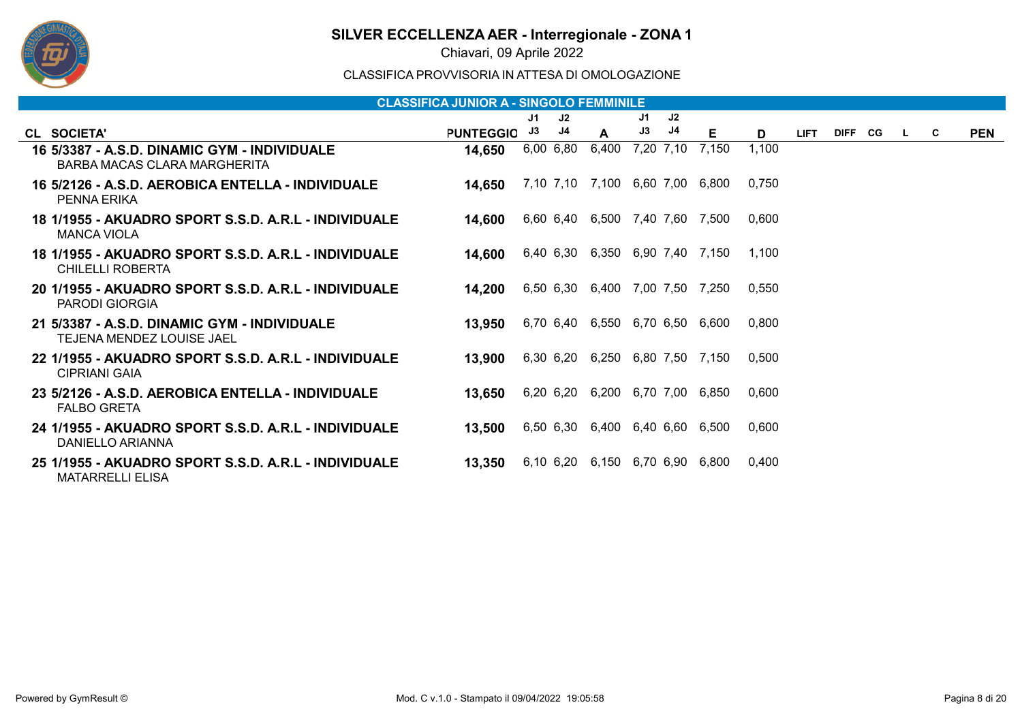

Chiavari, 09 Aprile 2022

|                                                                                    | <b>CLASSIFICA JUNIOR A - SINGOLO FEMMINILE</b> |           |    |                                 |    |           |       |       |             |         |          |    |            |
|------------------------------------------------------------------------------------|------------------------------------------------|-----------|----|---------------------------------|----|-----------|-------|-------|-------------|---------|----------|----|------------|
|                                                                                    |                                                | J1        | J2 |                                 | J1 | J2        |       |       |             |         |          |    |            |
| CL SOCIETA'                                                                        | <b>PUNTEGGIO</b>                               | J3        | J4 | A                               | J3 | J4        | Е     | D     | <b>LIFT</b> | DIFF CG | <b>L</b> | C. | <b>PEN</b> |
| 16 5/3387 - A.S.D. DINAMIC GYM - INDIVIDUALE<br>BARBA MACAS CLARA MARGHERITA       | 14,650                                         | 6,00 6,80 |    | 6,400                           |    | 7.20 7.10 | 7.150 | 1,100 |             |         |          |    |            |
| 16 5/2126 - A.S.D. AEROBICA ENTELLA - INDIVIDUALE<br>PENNA ERIKA                   | 14,650                                         |           |    | 7,10 7,10 7,100 6,60 7,00 6,800 |    |           |       | 0.750 |             |         |          |    |            |
| <u> 18 1/1955 - AKUADRO SPORT S.S.D. A.R.L - INDIVIDUALE</u><br><b>MANCA VIOLA</b> | 14,600                                         |           |    | 6,60 6,40 6,500 7,40 7,60 7,500 |    |           |       | 0,600 |             |         |          |    |            |
| 18 1/1955 - AKUADRO SPORT S.S.D. A.R.L - INDIVIDUALE<br><b>CHILELLI ROBERTA</b>    | 14,600                                         |           |    | 6,40 6,30 6,350 6,90 7,40 7,150 |    |           |       | 1.100 |             |         |          |    |            |
| 20 1/1955 - AKUADRO SPORT S.S.D. A.R.L - INDIVIDUALE<br>PARODI GIORGIA             | 14,200                                         |           |    | 6,50 6,30 6,400 7,00 7,50 7,250 |    |           |       | 0,550 |             |         |          |    |            |
| 21 5/3387 - A.S.D. DINAMIC GYM - INDIVIDUALE<br>TEJENA MENDEZ LOUISE JAEL          | 13,950                                         |           |    | 6,70 6,40 6,550 6,70 6,50 6,600 |    |           |       | 0,800 |             |         |          |    |            |
| 22 1/1955 - AKUADRO SPORT S.S.D. A.R.L - INDIVIDUALE<br><b>CIPRIANI GAIA</b>       | 13,900                                         |           |    | 6,30 6,20 6,250 6,80 7,50 7,150 |    |           |       | 0.500 |             |         |          |    |            |
| 23 5/2126 - A.S.D. AEROBICA ENTELLA - INDIVIDUALE<br><b>FALBO GRETA</b>            | 13,650                                         |           |    | 6,20 6,20 6,200 6,70 7,00       |    |           | 6.850 | 0,600 |             |         |          |    |            |
| 24 1/1955 - AKUADRO SPORT S.S.D. A.R.L - INDIVIDUALE<br>DANIELLO ARIANNA           | 13,500                                         |           |    | 6,50 6,30 6,400 6,40 6,60 6,500 |    |           |       | 0.600 |             |         |          |    |            |
| 25 1/1955 - AKUADRO SPORT S.S.D. A.R.L - INDIVIDUALE<br><b>MATARRELLI ELISA</b>    | 13,350                                         |           |    | 6,10 6,20 6,150 6,70 6,90       |    |           | 6.800 | 0.400 |             |         |          |    |            |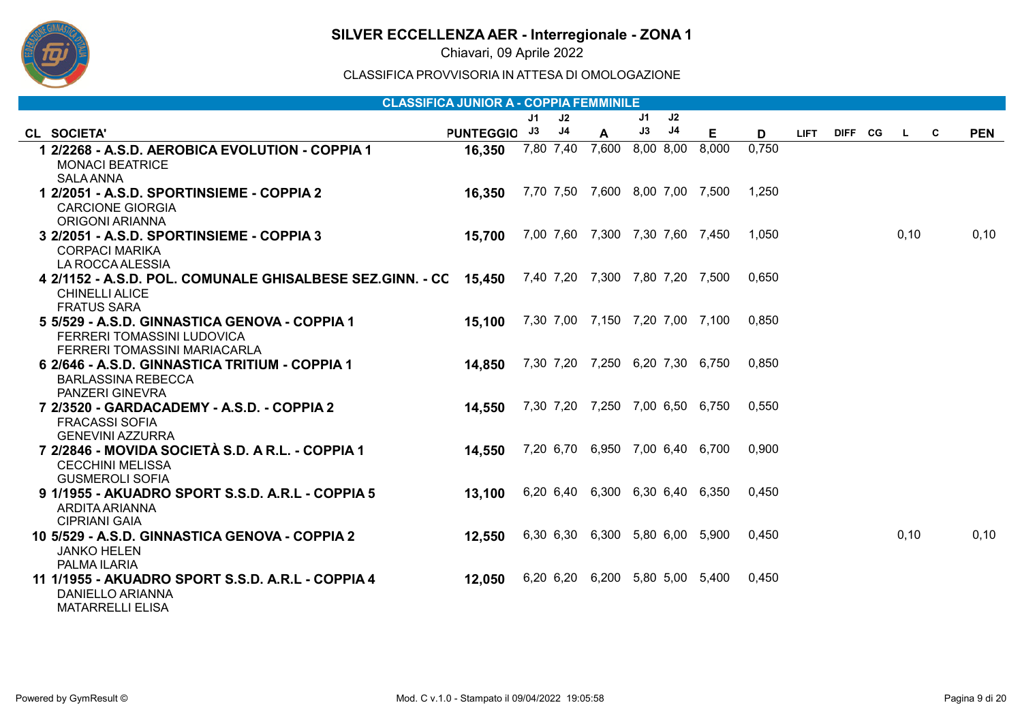

Chiavari, 09 Aprile 2022

|                                                                                                                    | <b>CLASSIFICA JUNIOR A - COPPIA FEMMINILE</b> |           |    |                                 |    |    |       |       |             |         |              |   |            |
|--------------------------------------------------------------------------------------------------------------------|-----------------------------------------------|-----------|----|---------------------------------|----|----|-------|-------|-------------|---------|--------------|---|------------|
|                                                                                                                    |                                               | J1        | J2 |                                 | J1 | J2 |       |       |             |         |              |   |            |
| CL SOCIETA'                                                                                                        | <b>PUNTEGGIO</b>                              | J3        | J4 | A                               | J3 | J4 | E.    | D     | <b>LIFT</b> | DIFF CG | $\mathbf{L}$ | C | <b>PEN</b> |
| 1 2/2268 - A.S.D. AEROBICA EVOLUTION - COPPIA 1<br><b>MONACI BEATRICE</b><br><b>SALA ANNA</b>                      | 16,350                                        | 7,80 7,40 |    | 7,600 8,00 8,00                 |    |    | 8,000 | 0.750 |             |         |              |   |            |
| 1 2/2051 - A.S.D. SPORTINSIEME - COPPIA 2<br><b>CARCIONE GIORGIA</b><br><b>ORIGONI ARIANNA</b>                     | 16,350                                        |           |    | 7,70 7,50 7,600 8,00 7,00 7,500 |    |    |       | 1,250 |             |         |              |   |            |
| 3 2/2051 - A.S.D. SPORTINSIEME - COPPIA 3<br><b>CORPACI MARIKA</b><br>LA ROCCA ALESSIA                             | 15,700                                        |           |    | 7,00 7,60 7,300 7,30 7,60 7,450 |    |    |       | 1,050 |             |         | 0, 10        |   | 0, 10      |
| 4 2/1152 - A.S.D. POL. COMUNALE GHISALBESE SEZ.GINN. - CC 15,450<br><b>CHINELLI ALICE</b><br><b>FRATUS SARA</b>    |                                               |           |    | 7,40 7,20 7,300 7,80 7,20 7,500 |    |    |       | 0.650 |             |         |              |   |            |
| 5 5/529 - A.S.D. GINNASTICA GENOVA - COPPIA 1<br><b>FERRERI TOMASSINI LUDOVICA</b><br>FERRERI TOMASSINI MARIACARLA | 15,100                                        |           |    | 7,30 7,00 7,150 7,20 7,00 7,100 |    |    |       | 0.850 |             |         |              |   |            |
| 6 2/646 - A.S.D. GINNASTICA TRITIUM - COPPIA 1<br><b>BARLASSINA REBECCA</b><br><b>PANZERI GINEVRA</b>              | 14,850                                        |           |    | 7,30 7,20 7,250 6,20 7,30 6,750 |    |    |       | 0.850 |             |         |              |   |            |
| 7 2/3520 - GARDACADEMY - A.S.D. - COPPIA 2<br><b>FRACASSI SOFIA</b><br><b>GENEVINI AZZURRA</b>                     | 14,550                                        |           |    | 7,30 7,20 7,250 7,00 6,50 6,750 |    |    |       | 0,550 |             |         |              |   |            |
| 7 2/2846 - MOVIDA SOCIETÀ S.D. A R.L. - COPPIA 1<br><b>CECCHINI MELISSA</b><br><b>GUSMEROLI SOFIA</b>              | 14,550                                        |           |    | 7,20 6,70 6,950 7,00 6,40 6,700 |    |    |       | 0,900 |             |         |              |   |            |
| 9 1/1955 - AKUADRO SPORT S.S.D. A.R.L - COPPIA 5<br>ARDITA ARIANNA<br><b>CIPRIANI GAIA</b>                         | 13,100                                        |           |    | 6,20 6,40 6,300 6,30 6,40 6,350 |    |    |       | 0,450 |             |         |              |   |            |
| 10 5/529 - A.S.D. GINNASTICA GENOVA - COPPIA 2<br><b>JANKO HELEN</b><br>PALMA ILARIA                               | 12,550                                        |           |    | 6,30 6,30 6,300 5,80 6,00 5,900 |    |    |       | 0.450 |             |         | 0, 10        |   | 0, 10      |
| 11 1/1955 - AKUADRO SPORT S.S.D. A.R.L - COPPIA 4<br><b>DANIELLO ARIANNA</b><br><b>MATARRELLI ELISA</b>            | 12,050                                        |           |    | 6,20 6,20 6,200 5,80 5,00 5,400 |    |    |       | 0.450 |             |         |              |   |            |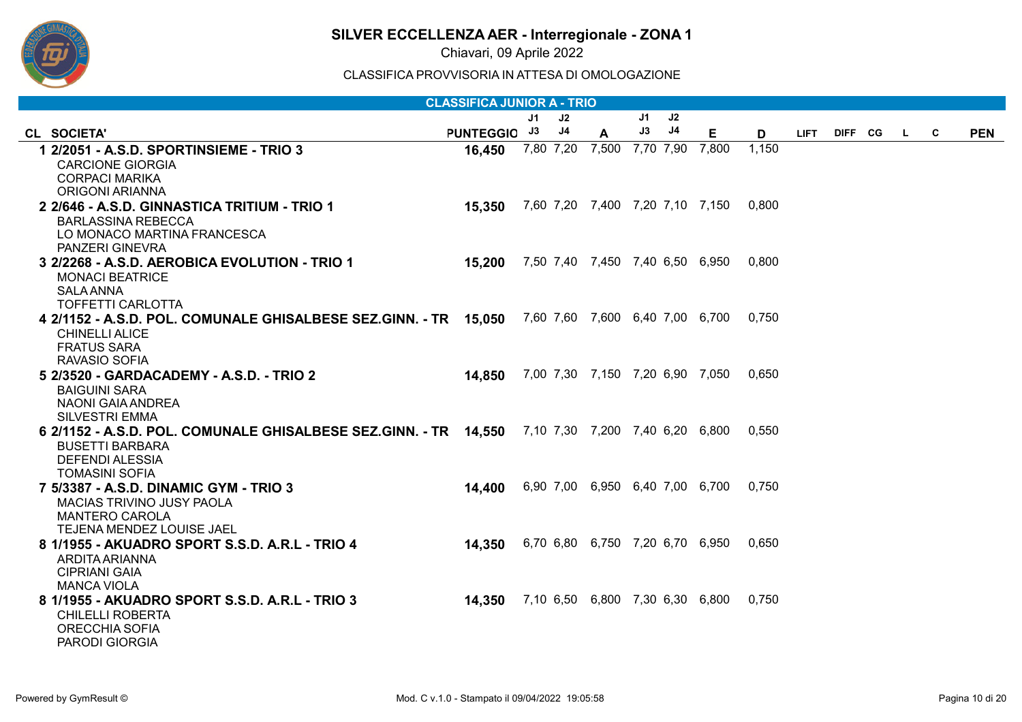

Chiavari, 09 Aprile 2022

|                                                                                                                                    | <b>CLASSIFICA JUNIOR A - TRIO</b>             |    |                |                 |    |    |                                       |       |             |         |          |   |            |
|------------------------------------------------------------------------------------------------------------------------------------|-----------------------------------------------|----|----------------|-----------------|----|----|---------------------------------------|-------|-------------|---------|----------|---|------------|
|                                                                                                                                    |                                               | J1 | J2             |                 | J1 | J2 |                                       |       |             |         |          |   |            |
| CL SOCIETA'                                                                                                                        | <b>PUNTEGGIO</b>                              | J3 | J <sub>4</sub> | A               | J3 | J4 | Е.                                    | D     | <b>LIFT</b> | DIFF CG | <b>L</b> | C | <b>PEN</b> |
| 1 2/2051 - A.S.D. SPORTINSIEME - TRIO 3                                                                                            | 16,450                                        |    | 7,80 7,20      | 7,500 7,70 7,90 |    |    | 7,800                                 | 1,150 |             |         |          |   |            |
| <b>CARCIONE GIORGIA</b>                                                                                                            |                                               |    |                |                 |    |    |                                       |       |             |         |          |   |            |
| <b>CORPACI MARIKA</b><br><b>ORIGONI ARIANNA</b>                                                                                    |                                               |    |                |                 |    |    |                                       |       |             |         |          |   |            |
| 2 2/646 - A.S.D. GINNASTICA TRITIUM - TRIO 1                                                                                       | 15,350                                        |    |                |                 |    |    | 7,60 7,20 7,400 7,20 7,10 7,150 0,800 |       |             |         |          |   |            |
| <b>BARLASSINA REBECCA</b>                                                                                                          |                                               |    |                |                 |    |    |                                       |       |             |         |          |   |            |
| LO MONACO MARTINA FRANCESCA                                                                                                        |                                               |    |                |                 |    |    |                                       |       |             |         |          |   |            |
| PANZERI GINEVRA                                                                                                                    |                                               |    |                |                 |    |    |                                       |       |             |         |          |   |            |
| 3 2/2268 - A.S.D. AEROBICA EVOLUTION - TRIO 1                                                                                      | 15,200                                        |    |                |                 |    |    | 7,50 7,40 7,450 7,40 6,50 6,950       | 0.800 |             |         |          |   |            |
| <b>MONACI BEATRICE</b>                                                                                                             |                                               |    |                |                 |    |    |                                       |       |             |         |          |   |            |
| <b>SALA ANNA</b>                                                                                                                   |                                               |    |                |                 |    |    |                                       |       |             |         |          |   |            |
| <b>TOFFETTI CARLOTTA</b><br>4 2/1152 - A.S.D. POL. COMUNALE GHISALBESE SEZ.GINN. - TR 15,050 7,60 7,60 7,600 6,40 7,00 6,700 0,750 |                                               |    |                |                 |    |    |                                       |       |             |         |          |   |            |
| <b>CHINELLI ALICE</b>                                                                                                              |                                               |    |                |                 |    |    |                                       |       |             |         |          |   |            |
| <b>FRATUS SARA</b>                                                                                                                 |                                               |    |                |                 |    |    |                                       |       |             |         |          |   |            |
| RAVASIO SOFIA                                                                                                                      |                                               |    |                |                 |    |    |                                       |       |             |         |          |   |            |
| 5 2/3520 - GARDACADEMY - A.S.D. - TRIO 2                                                                                           | 14,850                                        |    |                |                 |    |    | 7,00 7,30 7,150 7,20 6,90 7,050       | 0,650 |             |         |          |   |            |
| <b>BAIGUINI SARA</b>                                                                                                               |                                               |    |                |                 |    |    |                                       |       |             |         |          |   |            |
| NAONI GAIA ANDREA                                                                                                                  |                                               |    |                |                 |    |    |                                       |       |             |         |          |   |            |
| <b>SILVESTRI EMMA</b><br>6 2/1152 - A.S.D. POL. COMUNALE GHISALBESE SEZ.GINN. - TR 14,550 7,10 7,30 7,200 7,40 6,20 6,800 0,550    |                                               |    |                |                 |    |    |                                       |       |             |         |          |   |            |
| <b>BUSETTI BARBARA</b>                                                                                                             |                                               |    |                |                 |    |    |                                       |       |             |         |          |   |            |
| <b>DEFENDI ALESSIA</b>                                                                                                             |                                               |    |                |                 |    |    |                                       |       |             |         |          |   |            |
| <b>TOMASINI SOFIA</b>                                                                                                              |                                               |    |                |                 |    |    |                                       |       |             |         |          |   |            |
| 7 5/3387 - A.S.D. DINAMIC GYM - TRIO 3                                                                                             | 14,400                                        |    |                |                 |    |    | 6,90 7,00 6,950 6,40 7,00 6,700       | 0.750 |             |         |          |   |            |
| MACIAS TRIVINO JUSY PAOLA                                                                                                          |                                               |    |                |                 |    |    |                                       |       |             |         |          |   |            |
| <b>MANTERO CAROLA</b>                                                                                                              |                                               |    |                |                 |    |    |                                       |       |             |         |          |   |            |
| TEJENA MENDEZ LOUISE JAEL<br>8 1/1955 - AKUADRO SPORT S.S.D. A.R.L - TRIO 4                                                        | 14,350                                        |    |                |                 |    |    | 6,70 6,80 6,750 7,20 6,70 6,950       | 0.650 |             |         |          |   |            |
| ARDITA ARIANNA                                                                                                                     |                                               |    |                |                 |    |    |                                       |       |             |         |          |   |            |
| <b>CIPRIANI GAIA</b>                                                                                                               |                                               |    |                |                 |    |    |                                       |       |             |         |          |   |            |
| <b>MANCA VIOLA</b>                                                                                                                 |                                               |    |                |                 |    |    |                                       |       |             |         |          |   |            |
| 8 1/1955 - AKUADRO SPORT S.S.D. A.R.L - TRIO 3                                                                                     | <b>14,350</b> 7,10 6,50 6,800 7,30 6,30 6,800 |    |                |                 |    |    |                                       | 0,750 |             |         |          |   |            |
| <b>CHILELLI ROBERTA</b>                                                                                                            |                                               |    |                |                 |    |    |                                       |       |             |         |          |   |            |
| ORECCHIA SOFIA                                                                                                                     |                                               |    |                |                 |    |    |                                       |       |             |         |          |   |            |
| <b>PARODI GIORGIA</b>                                                                                                              |                                               |    |                |                 |    |    |                                       |       |             |         |          |   |            |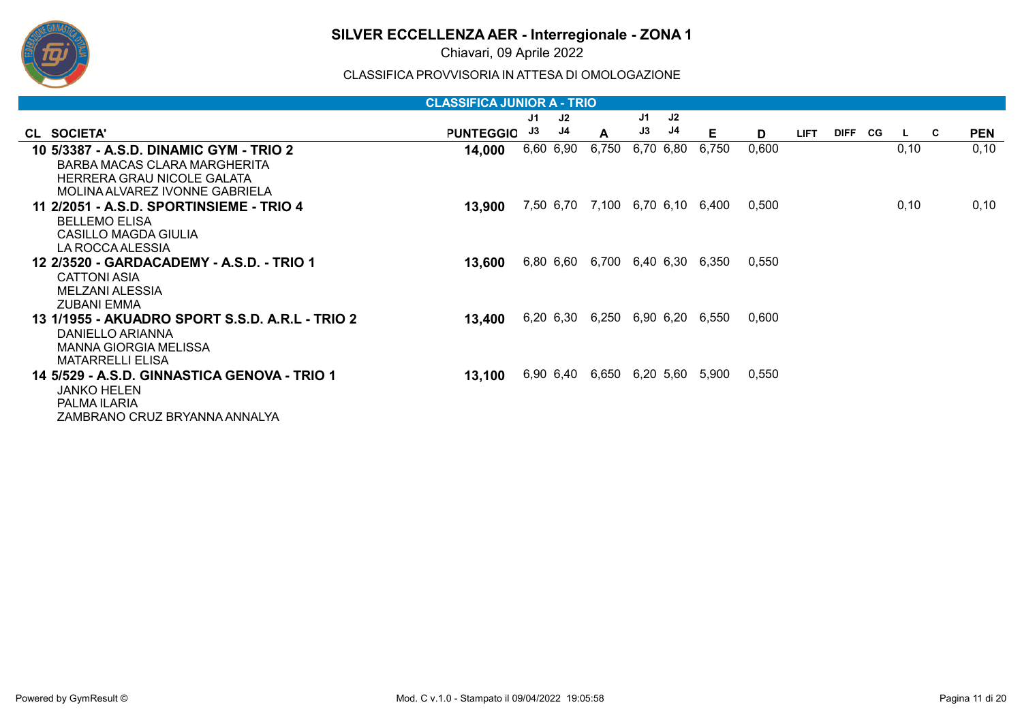

Chiavari, 09 Aprile 2022

|                                                         | <b>CLASSIFICA JUNIOR A - TRIO</b> |    |           |                                 |    |           |       |       |             |             |    |      |     |            |
|---------------------------------------------------------|-----------------------------------|----|-----------|---------------------------------|----|-----------|-------|-------|-------------|-------------|----|------|-----|------------|
|                                                         |                                   | J1 | J2        |                                 | J1 | J2        |       |       |             |             |    |      |     |            |
| CL SOCIETA'                                             | <b>PUNTEGGIO</b>                  | J3 | J4        | A                               | J3 | J4        | Е     | D     | <b>LIFT</b> | <b>DIFF</b> | CG | L.   | - C | <b>PEN</b> |
| 10 5/3387 - A.S.D. DINAMIC GYM - TRIO 2                 | 14,000                            |    | 6,60 6,90 | 6,750                           |    | 6,70 6,80 | 6,750 | 0,600 |             |             |    | 0,10 |     | 0, 10      |
| BARBA MACAS CLARA MARGHERITA                            |                                   |    |           |                                 |    |           |       |       |             |             |    |      |     |            |
| HERRERA GRAU NICOLE GALATA                              |                                   |    |           |                                 |    |           |       |       |             |             |    |      |     |            |
| MOLINA ALVAREZ IVONNE GABRIELA                          |                                   |    |           |                                 |    |           |       |       |             |             |    |      |     |            |
| 11   2/2051 - A.S.D. SPORTINSIEME - TRIO 4              | 13,900                            |    |           | 7,50 6,70 7,100 6,70 6,10 6,400 |    |           |       | 0.500 |             |             |    | 0,10 |     | 0,10       |
| <b>BELLEMO ELISA</b>                                    |                                   |    |           |                                 |    |           |       |       |             |             |    |      |     |            |
| CASILLO MAGDA GIULIA                                    |                                   |    |           |                                 |    |           |       |       |             |             |    |      |     |            |
| LA ROCCA ALESSIA                                        |                                   |    |           |                                 |    |           |       |       |             |             |    |      |     |            |
| 12  2/3520 - GARDACADEMY - A.S.D. - TRIO 1              | 13,600                            |    |           | 6,80 6,60 6,700 6,40 6,30 6,350 |    |           |       | 0.550 |             |             |    |      |     |            |
| <b>CATTONI ASIA</b>                                     |                                   |    |           |                                 |    |           |       |       |             |             |    |      |     |            |
| MELZANI ALESSIA                                         |                                   |    |           |                                 |    |           |       |       |             |             |    |      |     |            |
| ZUBANI EMMA                                             |                                   |    |           |                                 |    |           |       |       |             |             |    |      |     |            |
| <u> 13 1/1955 - AKUADRO SPORT S.S.D. A.R.L - TRIO 2</u> | 13,400                            |    |           | 6,20 6,30 6,250 6,90 6,20 6,550 |    |           |       | 0.600 |             |             |    |      |     |            |
| DANIELLO ARIANNA                                        |                                   |    |           |                                 |    |           |       |       |             |             |    |      |     |            |
| <b>MANNA GIORGIA MELISSA</b>                            |                                   |    |           |                                 |    |           |       |       |             |             |    |      |     |            |
| <b>MATARRELLI ELISA</b>                                 |                                   |    |           |                                 |    |           |       |       |             |             |    |      |     |            |
| 14 5/529 - A.S.D. GINNASTICA GENOVA - TRIO 1            | 13,100                            |    |           | 6,90 6,40 6,650 6,20 5,60 5,900 |    |           |       | 0.550 |             |             |    |      |     |            |
| <b>JANKO HELEN</b>                                      |                                   |    |           |                                 |    |           |       |       |             |             |    |      |     |            |
| PALMA ILARIA                                            |                                   |    |           |                                 |    |           |       |       |             |             |    |      |     |            |
| ZAMBRANO CRUZ BRYANNA ANNALYA                           |                                   |    |           |                                 |    |           |       |       |             |             |    |      |     |            |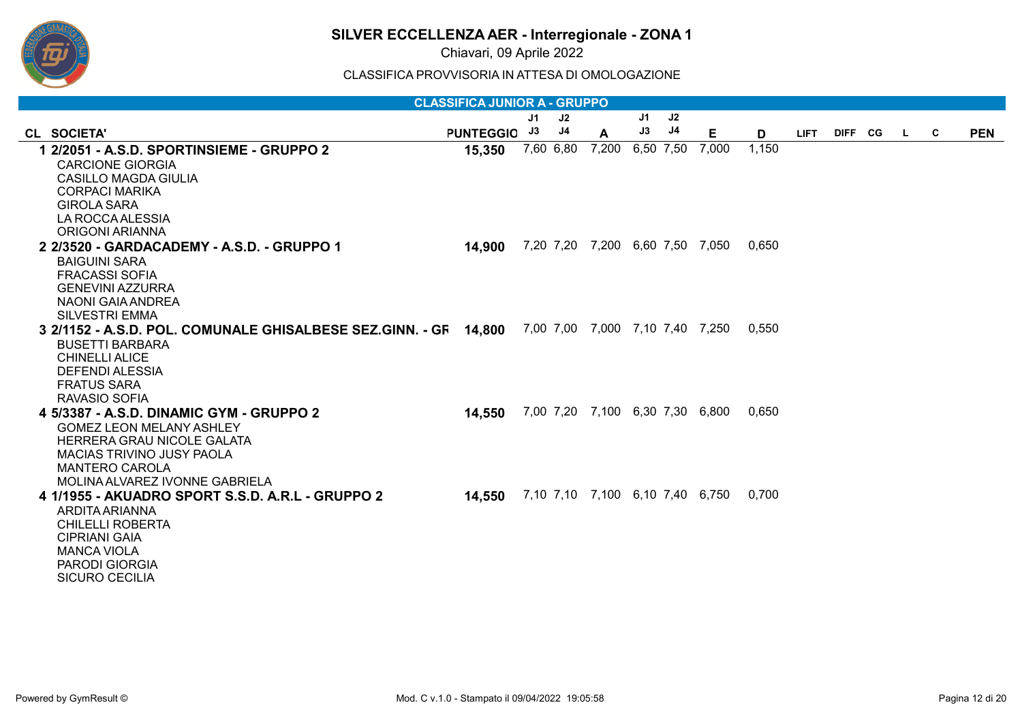

Chiavari, 09 Aprile 2022

|                                                                  | <b>CLASSIFICA JUNIOR A - GRUPPO</b> |    |                |                                 |    |           |                                 |       |             |           |          |            |
|------------------------------------------------------------------|-------------------------------------|----|----------------|---------------------------------|----|-----------|---------------------------------|-------|-------------|-----------|----------|------------|
|                                                                  |                                     | J1 | J2             |                                 | J1 | J2        |                                 |       |             |           |          |            |
| CL SOCIETA'                                                      | PUNTEGGIO J3                        |    | J <sub>4</sub> | A                               | J3 | J4        | E                               | D     | <b>LIFT</b> | DIFF CG L | <b>C</b> | <b>PEN</b> |
| 1 2/2051 - A.S.D. SPORTINSIEME - GRUPPO 2                        | 15,350                              |    | 7,60 6,80      | 7,200                           |    | 6,50 7,50 | 7,000                           | 1,150 |             |           |          |            |
| <b>CARCIONE GIORGIA</b>                                          |                                     |    |                |                                 |    |           |                                 |       |             |           |          |            |
| <b>CASILLO MAGDA GIULIA</b>                                      |                                     |    |                |                                 |    |           |                                 |       |             |           |          |            |
| <b>CORPACI MARIKA</b>                                            |                                     |    |                |                                 |    |           |                                 |       |             |           |          |            |
| <b>GIROLA SARA</b>                                               |                                     |    |                |                                 |    |           |                                 |       |             |           |          |            |
| LA ROCCA ALESSIA<br>ORIGONI ARIANNA                              |                                     |    |                |                                 |    |           |                                 |       |             |           |          |            |
| 2 2/3520 - GARDACADEMY - A.S.D. - GRUPPO 1                       | 14,900                              |    |                | 7,20 7,20 7,200 6,60 7,50 7,050 |    |           |                                 | 0,650 |             |           |          |            |
| <b>BAIGUINI SARA</b>                                             |                                     |    |                |                                 |    |           |                                 |       |             |           |          |            |
| <b>FRACASSI SOFIA</b>                                            |                                     |    |                |                                 |    |           |                                 |       |             |           |          |            |
| <b>GENEVINI AZZURRA</b>                                          |                                     |    |                |                                 |    |           |                                 |       |             |           |          |            |
| NAONI GAIA ANDREA                                                |                                     |    |                |                                 |    |           |                                 |       |             |           |          |            |
| <b>SILVESTRI EMMA</b>                                            |                                     |    |                |                                 |    |           |                                 |       |             |           |          |            |
| 3 2/1152 - A.S.D. POL. COMUNALE GHISALBESE SEZ.GINN. - GF 14.800 |                                     |    |                |                                 |    |           | 7,00 7,00 7,000 7,10 7,40 7,250 | 0,550 |             |           |          |            |
| <b>BUSETTI BARBARA</b>                                           |                                     |    |                |                                 |    |           |                                 |       |             |           |          |            |
| <b>CHINELLI ALICE</b>                                            |                                     |    |                |                                 |    |           |                                 |       |             |           |          |            |
| DEFENDI ALESSIA                                                  |                                     |    |                |                                 |    |           |                                 |       |             |           |          |            |
| <b>FRATUS SARA</b><br>RAVASIO SOFIA                              |                                     |    |                |                                 |    |           |                                 |       |             |           |          |            |
| 4 5/3387 - A.S.D. DINAMIC GYM - GRUPPO 2                         | 14,550                              |    |                | 7,00 7,20 7,100 6,30 7,30 6,800 |    |           |                                 | 0,650 |             |           |          |            |
| <b>GOMEZ LEON MELANY ASHLEY</b>                                  |                                     |    |                |                                 |    |           |                                 |       |             |           |          |            |
| HERRERA GRAU NICOLE GALATA                                       |                                     |    |                |                                 |    |           |                                 |       |             |           |          |            |
| MACIAS TRIVINO JUSY PAOLA                                        |                                     |    |                |                                 |    |           |                                 |       |             |           |          |            |
| <b>MANTERO CAROLA</b>                                            |                                     |    |                |                                 |    |           |                                 |       |             |           |          |            |
| MOLINA ALVAREZ IVONNE GABRIELA                                   |                                     |    |                |                                 |    |           |                                 |       |             |           |          |            |
| 4 1/1955 - AKUADRO SPORT S.S.D. A.R.L - GRUPPO 2                 | 14,550                              |    |                | 7,10 7,10 7,100 6,10 7,40 6,750 |    |           |                                 | 0,700 |             |           |          |            |
| ARDITA ARIANNA                                                   |                                     |    |                |                                 |    |           |                                 |       |             |           |          |            |
| <b>CHILELLI ROBERTA</b><br><b>CIPRIANI GAIA</b>                  |                                     |    |                |                                 |    |           |                                 |       |             |           |          |            |
| <b>MANCA VIOLA</b>                                               |                                     |    |                |                                 |    |           |                                 |       |             |           |          |            |
| <b>PARODI GIORGIA</b>                                            |                                     |    |                |                                 |    |           |                                 |       |             |           |          |            |
| <b>SICURO CECILIA</b>                                            |                                     |    |                |                                 |    |           |                                 |       |             |           |          |            |
|                                                                  |                                     |    |                |                                 |    |           |                                 |       |             |           |          |            |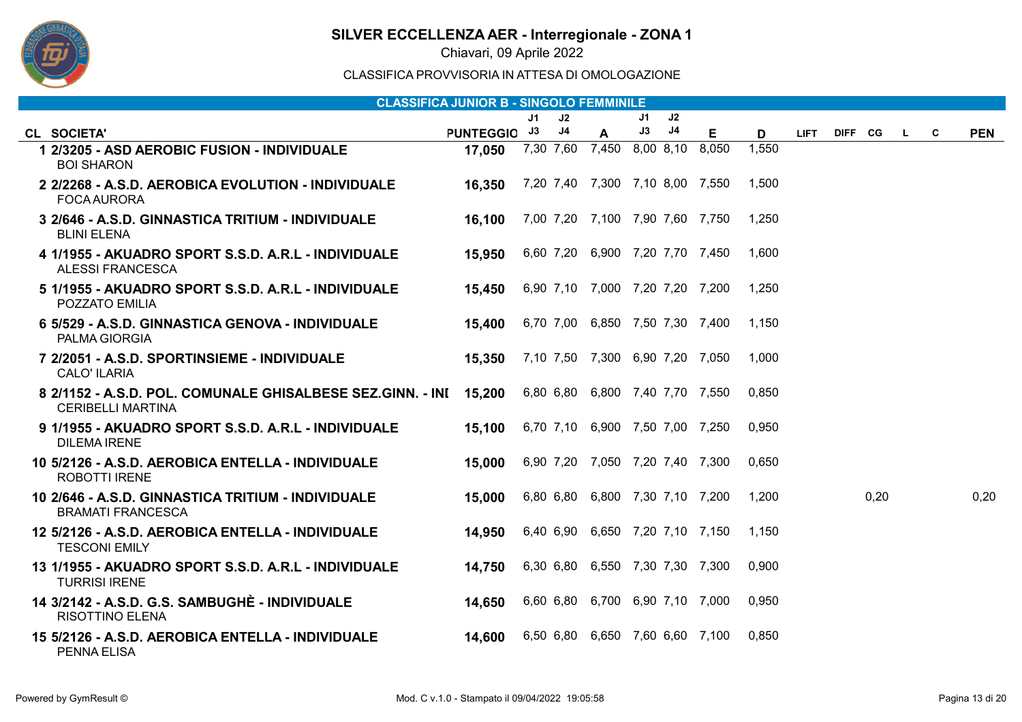

Chiavari, 09 Aprile 2022

| <b>CLASSIFICA JUNIOR B - SINGOLO FEMMINILE</b>                                           |              |    |    |                                 |    |                |    |       |             |         |      |    |   |            |
|------------------------------------------------------------------------------------------|--------------|----|----|---------------------------------|----|----------------|----|-------|-------------|---------|------|----|---|------------|
|                                                                                          |              | J1 | J2 |                                 | J1 | J2             |    |       |             |         |      |    |   |            |
| CL SOCIETA'                                                                              | PUNTEGGIO J3 |    | J4 | $\mathbf{A}$                    | J3 | J <sub>4</sub> | E. | D     | <b>LIFT</b> | DIFF CG |      | L. | C | <b>PEN</b> |
| 1 2/3205 - ASD AEROBIC FUSION - INDIVIDUALE<br><b>BOI SHARON</b>                         | 17,050       |    |    | 7,30 7,60 7,450 8,00 8,10 8,050 |    |                |    | 1,550 |             |         |      |    |   |            |
| 2 2/2268 - A.S.D. AEROBICA EVOLUTION - INDIVIDUALE<br><b>FOCA AURORA</b>                 | 16,350       |    |    | 7,20 7,40 7,300 7,10 8,00 7,550 |    |                |    | 1.500 |             |         |      |    |   |            |
| 3 2/646 - A.S.D. GINNASTICA TRITIUM - INDIVIDUALE<br><b>BLINI ELENA</b>                  | 16,100       |    |    | 7,00 7,20 7,100 7,90 7,60 7,750 |    |                |    | 1,250 |             |         |      |    |   |            |
| 4 1/1955 - AKUADRO SPORT S.S.D. A.R.L - INDIVIDUALE<br><b>ALESSI FRANCESCA</b>           | 15,950       |    |    | 6,60 7,20 6,900 7,20 7,70 7,450 |    |                |    | 1,600 |             |         |      |    |   |            |
| 5 1/1955 - AKUADRO SPORT S.S.D. A.R.L - INDIVIDUALE<br>POZZATO EMILIA                    | 15.450       |    |    | 6,90 7,10 7,000 7,20 7,20 7,200 |    |                |    | 1,250 |             |         |      |    |   |            |
| 6 5/529 - A.S.D. GINNASTICA GENOVA - INDIVIDUALE<br>PALMA GIORGIA                        | 15,400       |    |    | 6,70 7,00 6,850 7,50 7,30 7,400 |    |                |    | 1.150 |             |         |      |    |   |            |
| 7 2/2051 - A.S.D. SPORTINSIEME - INDIVIDUALE<br><b>CALO' ILARIA</b>                      | 15,350       |    |    | 7,10 7,50 7,300 6,90 7,20 7,050 |    |                |    | 1.000 |             |         |      |    |   |            |
| 8   2/1152 - A.S.D. POL. COMUNALE GHISALBESE SEZ.GINN. - INI<br><b>CERIBELLI MARTINA</b> | 15,200       |    |    | 6,80 6,80 6,800 7,40 7,70 7,550 |    |                |    | 0,850 |             |         |      |    |   |            |
| 9 1/1955 - AKUADRO SPORT S.S.D. A.R.L - INDIVIDUALE<br><b>DILEMA IRENE</b>               | 15,100       |    |    | 6,70 7,10 6,900 7,50 7,00 7,250 |    |                |    | 0.950 |             |         |      |    |   |            |
| 10 5/2126 - A.S.D. AEROBICA ENTELLA - INDIVIDUALE<br><b>ROBOTTI IRENE</b>                | 15,000       |    |    | 6,90 7,20 7,050 7,20 7,40 7,300 |    |                |    | 0,650 |             |         |      |    |   |            |
| 10 2/646 - A.S.D. GINNASTICA TRITIUM - INDIVIDUALE<br><b>BRAMATI FRANCESCA</b>           | 15,000       |    |    | 6,80 6,80 6,800 7,30 7,10 7,200 |    |                |    | 1,200 |             |         | 0,20 |    |   | 0,20       |
| 12 5/2126 - A.S.D. AEROBICA ENTELLA - INDIVIDUALE<br><b>TESCONI EMILY</b>                | 14,950       |    |    | 6,40 6,90 6,650 7,20 7,10 7,150 |    |                |    | 1,150 |             |         |      |    |   |            |
| 13 1/1955 - AKUADRO SPORT S.S.D. A.R.L - INDIVIDUALE<br><b>TURRISI IRENE</b>             | 14,750       |    |    | 6,30 6,80 6,550 7,30 7,30 7,300 |    |                |    | 0,900 |             |         |      |    |   |            |
| 14 3/2142 - A.S.D. G.S. SAMBUGHÈ - INDIVIDUALE<br><b>RISOTTINO ELENA</b>                 | 14,650       |    |    | 6,60 6,80 6,700 6,90 7,10 7,000 |    |                |    | 0.950 |             |         |      |    |   |            |
| 15 5/2126 - A.S.D. AEROBICA ENTELLA - INDIVIDUALE<br><b>PENNA ELISA</b>                  | 14,600       |    |    | 6,50 6,80 6,650 7,60 6,60 7,100 |    |                |    | 0.850 |             |         |      |    |   |            |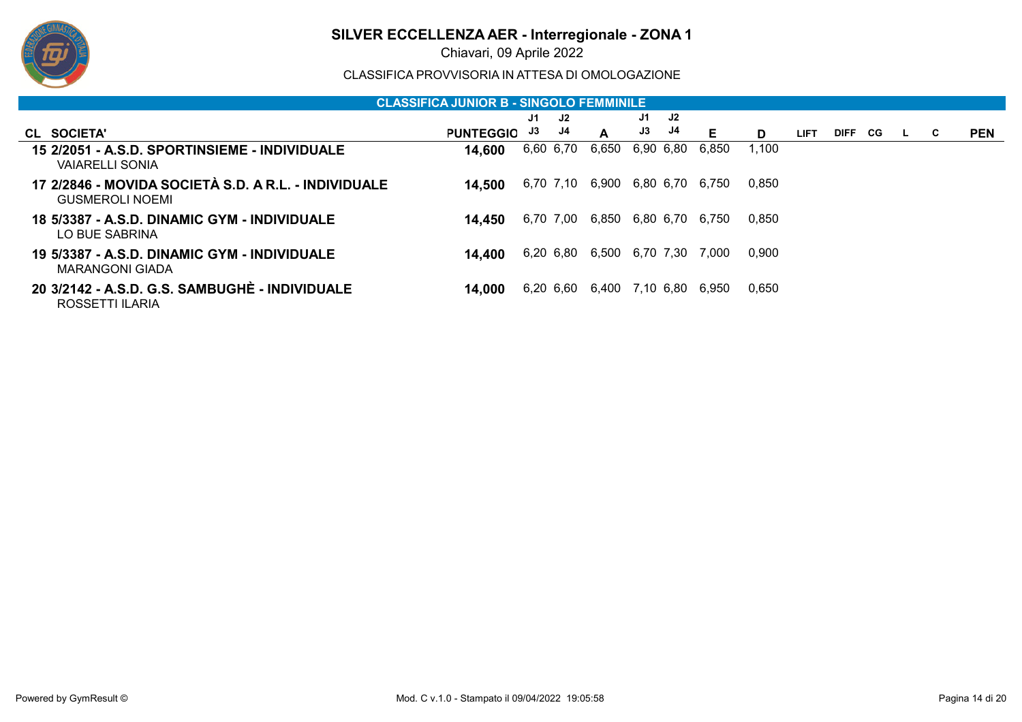

Chiavari, 09 Aprile 2022

|                                                                                | <b>CLASSIFICA JUNIOR B - SINGOLO FEMMINILE</b> |    |           |                           |           |           |       |       |             |         |    |   |            |
|--------------------------------------------------------------------------------|------------------------------------------------|----|-----------|---------------------------|-----------|-----------|-------|-------|-------------|---------|----|---|------------|
|                                                                                |                                                | J1 | J2        |                           | J1        | J2        |       |       |             |         |    |   |            |
| CL SOCIETA'                                                                    | <b>PUNTEGGIO</b>                               | J3 | J4        | A                         | J3        | J4        | Е     | D.    | <b>LIFT</b> | DIFF CG | L. | C | <b>PEN</b> |
| 15 2/2051 - A.S.D. SPORTINSIEME - INDIVIDUALE<br><b>VAIARELLI SONIA</b>        | 14,600                                         |    | 6,60 6,70 | 6,650                     | 6,90 6,80 |           | 6,850 | 1,100 |             |         |    |   |            |
| 17 2/2846 - MOVIDA SOCIETÀ S.D. A R.L. - INDIVIDUALE<br><b>GUSMEROLI NOEMI</b> | 14.500                                         |    | 6,70 7,10 | 6,900 6,80 6,70           |           |           | 6.750 | 0,850 |             |         |    |   |            |
| 18 5/3387 - A.S.D. DINAMIC GYM - INDIVIDUALE<br>LO BUE SABRINA                 | 14.450                                         |    | 6,70 7,00 | 6,850 6,80 6,70           |           |           | 6.750 | 0,850 |             |         |    |   |            |
| 19 5/3387 - A.S.D. DINAMIC GYM - INDIVIDUALE<br>MARANGONI GIADA                | 14.400                                         |    |           | 6,20 6,80 6,500 6,70 7,30 |           |           | 7.000 | 0,900 |             |         |    |   |            |
| 20 3/2142 - A.S.D. G.S. SAMBUGHÈ - INDIVIDUALE<br>ROSSETTI ILARIA              | 14.000                                         |    |           | 6,20 6,60 6,400           |           | 7,10 6,80 | 6,950 | 0,650 |             |         |    |   |            |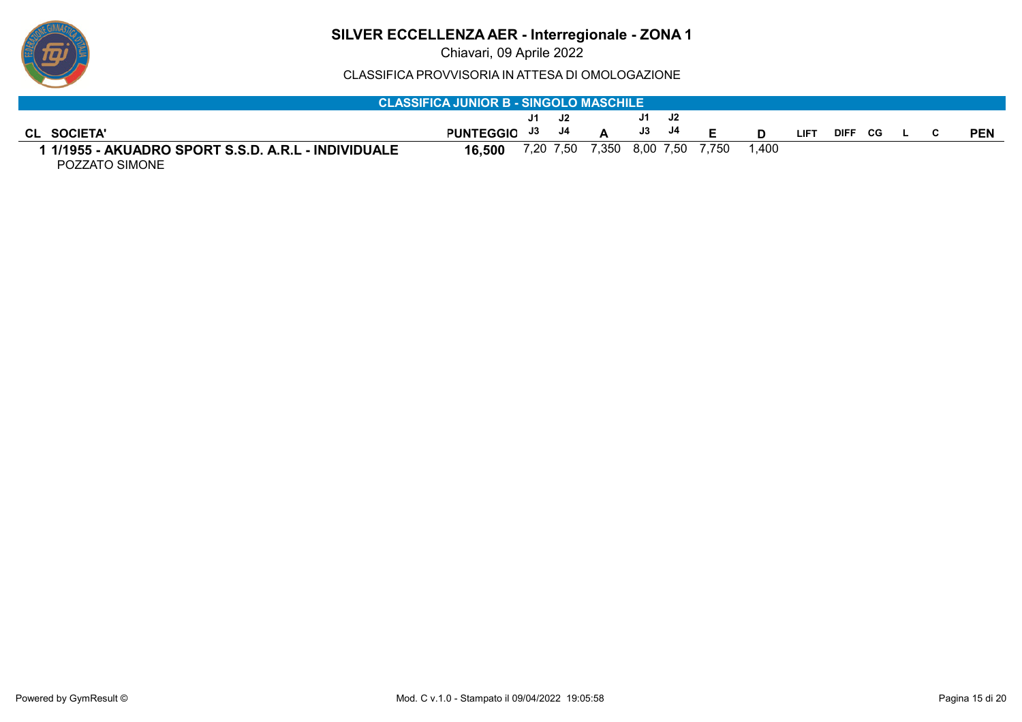

Chiavari, 09 Aprile 2022

| <b>CLASSIFICA JUNIOR B - SINGOLO MASCHILE</b>                         |                  |       |  |                           |               |       |       |       |             |         |  |  |            |
|-----------------------------------------------------------------------|------------------|-------|--|---------------------------|---------------|-------|-------|-------|-------------|---------|--|--|------------|
|                                                                       |                  |       |  |                           |               | J1 J2 |       |       |             |         |  |  |            |
| <b>CL SOCIETA'</b>                                                    | <b>PUNTEGGIO</b> | J3 J4 |  |                           | $\mathsf{J3}$ | J4    | Е     |       | <b>LIFT</b> | DIFF CG |  |  | <b>PEN</b> |
| I 1/1955 - AKUADRO SPORT S.S.D. A.R.L - INDIVIDUALE<br>POZZATO SIMONE | 16.500           |       |  | 7,20 7,50 7,350 8,00 7,50 |               |       | 7.750 | 1.400 |             |         |  |  |            |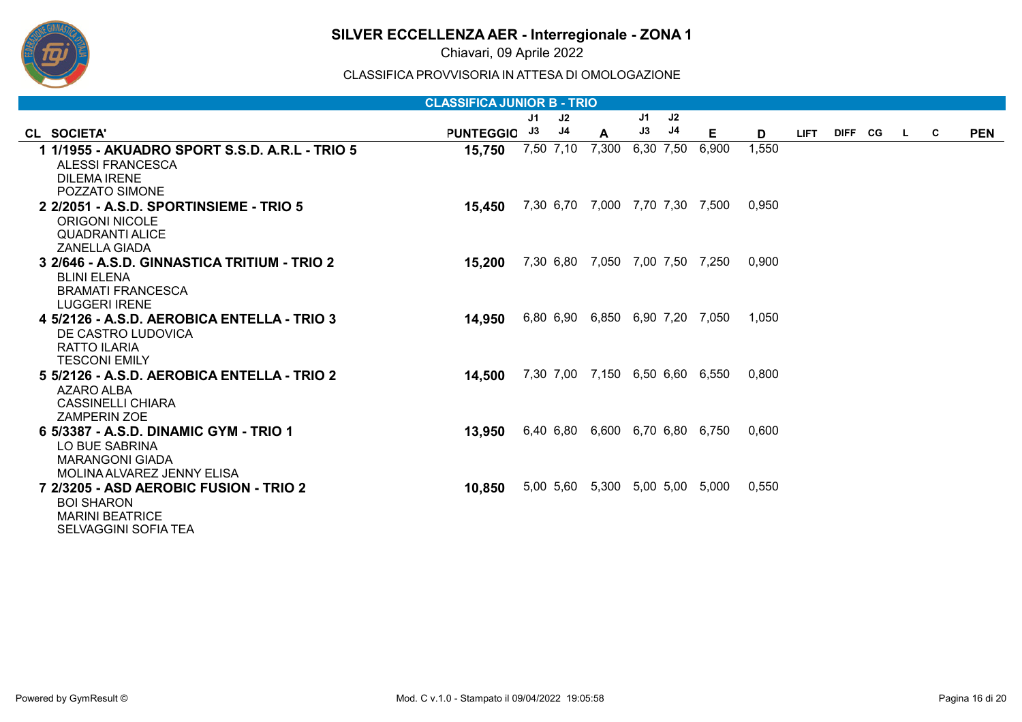

Chiavari, 09 Aprile 2022

| <b>CLASSIFICA JUNIOR B - TRIO</b>                                                                                    |                  |    |           |                                 |    |           |       |       |             |  |           |  |          |            |
|----------------------------------------------------------------------------------------------------------------------|------------------|----|-----------|---------------------------------|----|-----------|-------|-------|-------------|--|-----------|--|----------|------------|
|                                                                                                                      |                  | J1 | J2        |                                 | J1 | J2        |       |       |             |  |           |  |          |            |
| CL SOCIETA'                                                                                                          | <b>PUNTEGGIO</b> | J3 | J4        | A                               | J3 | J4        | Е     | D     | <b>LIFT</b> |  | DIFF CG L |  | <b>C</b> | <b>PEN</b> |
| 1 1/1955 - AKUADRO SPORT S.S.D. A.R.L - TRIO 5<br><b>ALESSI FRANCESCA</b><br><b>DILEMA IRENE</b><br>POZZATO SIMONE   | 15,750           |    | 7,50 7,10 | 7,300                           |    | 6,30 7,50 | 6,900 | 1,550 |             |  |           |  |          |            |
| 2 2/2051 - A.S.D. SPORTINSIEME - TRIO 5<br><b>ORIGONI NICOLE</b><br><b>QUADRANTI ALICE</b><br><b>ZANELLA GIADA</b>   | 15,450           |    |           | 7,30 6,70 7,000 7,70 7,30 7,500 |    |           |       | 0,950 |             |  |           |  |          |            |
| 3 2/646 - A.S.D. GINNASTICA TRITIUM - TRIO 2<br><b>BLINI ELENA</b><br><b>BRAMATI FRANCESCA</b><br>LUGGERI IRENE      | 15,200           |    |           | 7,30 6,80 7,050 7,00 7,50 7,250 |    |           |       | 0,900 |             |  |           |  |          |            |
| 4 5/2126 - A.S.D. AEROBICA ENTELLA - TRIO 3<br>DE CASTRO LUDOVICA<br><b>RATTO ILARIA</b><br><b>TESCONI EMILY</b>     | 14,950           |    |           | 6,80 6,90 6,850 6,90 7,20 7,050 |    |           |       | 1,050 |             |  |           |  |          |            |
| 5 5/2126 - A.S.D. AEROBICA ENTELLA - TRIO 2<br><b>AZARO ALBA</b><br><b>CASSINELLI CHIARA</b><br><b>ZAMPERIN ZOE</b>  | 14,500           |    |           | 7,30 7,00 7,150 6,50 6,60 6,550 |    |           |       | 0.800 |             |  |           |  |          |            |
| 6 5/3387 - A.S.D. DINAMIC GYM - TRIO 1<br>LO BUE SABRINA<br><b>MARANGONI GIADA</b><br>MOLINA ALVAREZ JENNY ELISA     | 13,950           |    |           | 6,40 6,80 6,600 6,70 6,80 6,750 |    |           |       | 0,600 |             |  |           |  |          |            |
| 7 2/3205 - ASD AEROBIC FUSION - TRIO 2<br><b>BOI SHARON</b><br><b>MARINI BEATRICE</b><br><b>SELVAGGINI SOFIA TEA</b> | 10,850           |    |           | 5,00 5,60 5,300 5,00 5,00 5,000 |    |           |       | 0,550 |             |  |           |  |          |            |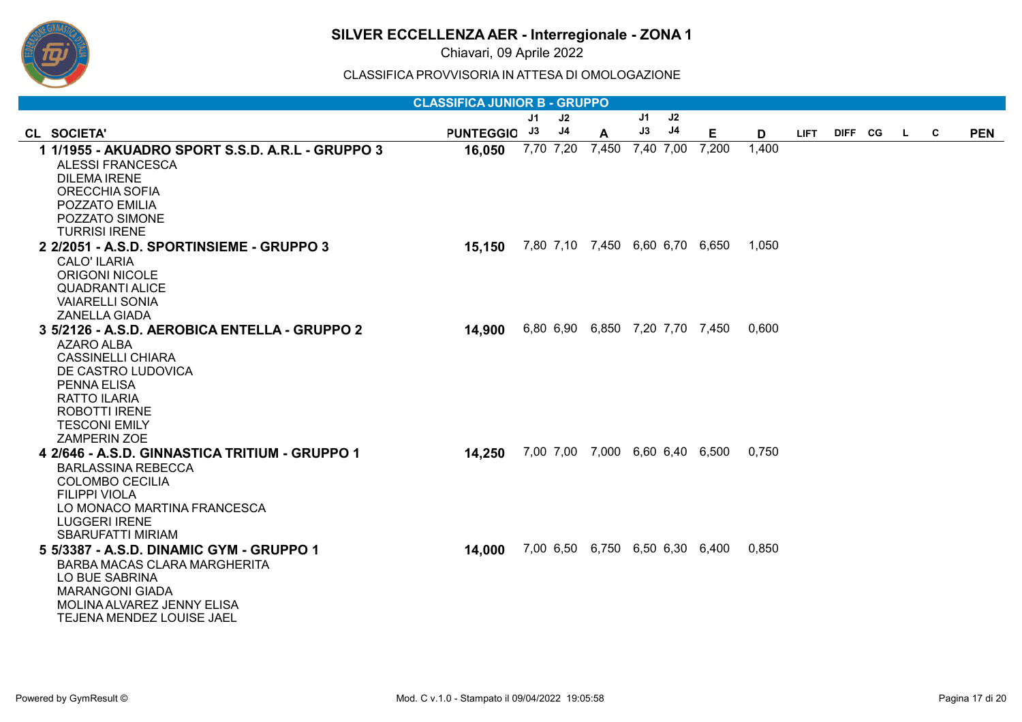

Chiavari, 09 Aprile 2022

|                                                         | <b>CLASSIFICA JUNIOR B - GRUPPO</b> |           |    |                                 |    |           |                                 |       |             |         |    |   |            |
|---------------------------------------------------------|-------------------------------------|-----------|----|---------------------------------|----|-----------|---------------------------------|-------|-------------|---------|----|---|------------|
|                                                         |                                     | J1        | J2 |                                 | J1 | J2        |                                 |       |             |         |    |   |            |
| CL SOCIETA'                                             | <b>PUNTEGGIO</b>                    | J3        | J4 | A                               | J3 | $\sf{J4}$ | Е                               | D     | <b>LIFT</b> | DIFF CG | L. | C | <b>PEN</b> |
| 1 1/1955 - AKUADRO SPORT S.S.D. A.R.L - GRUPPO 3        | 16,050                              | 7,70 7,20 |    | 7,450                           |    | 7,40 7,00 | 7,200                           | 1,400 |             |         |    |   |            |
| <b>ALESSI FRANCESCA</b>                                 |                                     |           |    |                                 |    |           |                                 |       |             |         |    |   |            |
| <b>DILEMA IRENE</b>                                     |                                     |           |    |                                 |    |           |                                 |       |             |         |    |   |            |
| <b>ORECCHIA SOFIA</b>                                   |                                     |           |    |                                 |    |           |                                 |       |             |         |    |   |            |
| POZZATO EMILIA                                          |                                     |           |    |                                 |    |           |                                 |       |             |         |    |   |            |
| POZZATO SIMONE                                          |                                     |           |    |                                 |    |           |                                 |       |             |         |    |   |            |
| <b>TURRISI IRENE</b>                                    |                                     |           |    |                                 |    |           |                                 | 1.050 |             |         |    |   |            |
| 2 2/2051 - A.S.D. SPORTINSIEME - GRUPPO 3               | 15,150                              |           |    | 7,80 7,10 7,450 6,60 6,70 6,650 |    |           |                                 |       |             |         |    |   |            |
| <b>CALO' ILARIA</b><br><b>ORIGONI NICOLE</b>            |                                     |           |    |                                 |    |           |                                 |       |             |         |    |   |            |
| <b>QUADRANTI ALICE</b>                                  |                                     |           |    |                                 |    |           |                                 |       |             |         |    |   |            |
| <b>VAIARELLI SONIA</b>                                  |                                     |           |    |                                 |    |           |                                 |       |             |         |    |   |            |
| <b>ZANELLA GIADA</b>                                    |                                     |           |    |                                 |    |           |                                 |       |             |         |    |   |            |
| 3 5/2126 - A.S.D. AEROBICA ENTELLA - GRUPPO 2           | 14,900                              |           |    | 6,80 6,90 6,850 7,20 7,70 7,450 |    |           |                                 | 0.600 |             |         |    |   |            |
| <b>AZARO ALBA</b>                                       |                                     |           |    |                                 |    |           |                                 |       |             |         |    |   |            |
| <b>CASSINELLI CHIARA</b>                                |                                     |           |    |                                 |    |           |                                 |       |             |         |    |   |            |
| DE CASTRO LUDOVICA                                      |                                     |           |    |                                 |    |           |                                 |       |             |         |    |   |            |
| <b>PENNA ELISA</b>                                      |                                     |           |    |                                 |    |           |                                 |       |             |         |    |   |            |
| <b>RATTO ILARIA</b>                                     |                                     |           |    |                                 |    |           |                                 |       |             |         |    |   |            |
| <b>ROBOTTI IRENE</b>                                    |                                     |           |    |                                 |    |           |                                 |       |             |         |    |   |            |
| <b>TESCONI EMILY</b><br><b>ZAMPERIN ZOE</b>             |                                     |           |    |                                 |    |           |                                 |       |             |         |    |   |            |
| 4 2/646 - A.S.D. GINNASTICA TRITIUM - GRUPPO 1          | 14,250                              |           |    | 7,00 7,00 7,000 6,60 6,40 6,500 |    |           |                                 | 0.750 |             |         |    |   |            |
| <b>BARLASSINA REBECCA</b>                               |                                     |           |    |                                 |    |           |                                 |       |             |         |    |   |            |
| <b>COLOMBO CECILIA</b>                                  |                                     |           |    |                                 |    |           |                                 |       |             |         |    |   |            |
| <b>FILIPPI VIOLA</b>                                    |                                     |           |    |                                 |    |           |                                 |       |             |         |    |   |            |
| LO MONACO MARTINA FRANCESCA                             |                                     |           |    |                                 |    |           |                                 |       |             |         |    |   |            |
| <b>LUGGERI IRENE</b>                                    |                                     |           |    |                                 |    |           |                                 |       |             |         |    |   |            |
| <b>SBARUFATTI MIRIAM</b>                                |                                     |           |    |                                 |    |           |                                 |       |             |         |    |   |            |
| 5 5/3387 - A.S.D. DINAMIC GYM - GRUPPO 1                | 14,000                              |           |    |                                 |    |           | 7,00 6,50 6,750 6,50 6,30 6,400 | 0,850 |             |         |    |   |            |
| <b>BARBA MACAS CLARA MARGHERITA</b>                     |                                     |           |    |                                 |    |           |                                 |       |             |         |    |   |            |
| LO BUE SABRINA                                          |                                     |           |    |                                 |    |           |                                 |       |             |         |    |   |            |
| <b>MARANGONI GIADA</b>                                  |                                     |           |    |                                 |    |           |                                 |       |             |         |    |   |            |
| MOLINA ALVAREZ JENNY ELISA<br>TEJENA MENDEZ LOUISE JAEL |                                     |           |    |                                 |    |           |                                 |       |             |         |    |   |            |
|                                                         |                                     |           |    |                                 |    |           |                                 |       |             |         |    |   |            |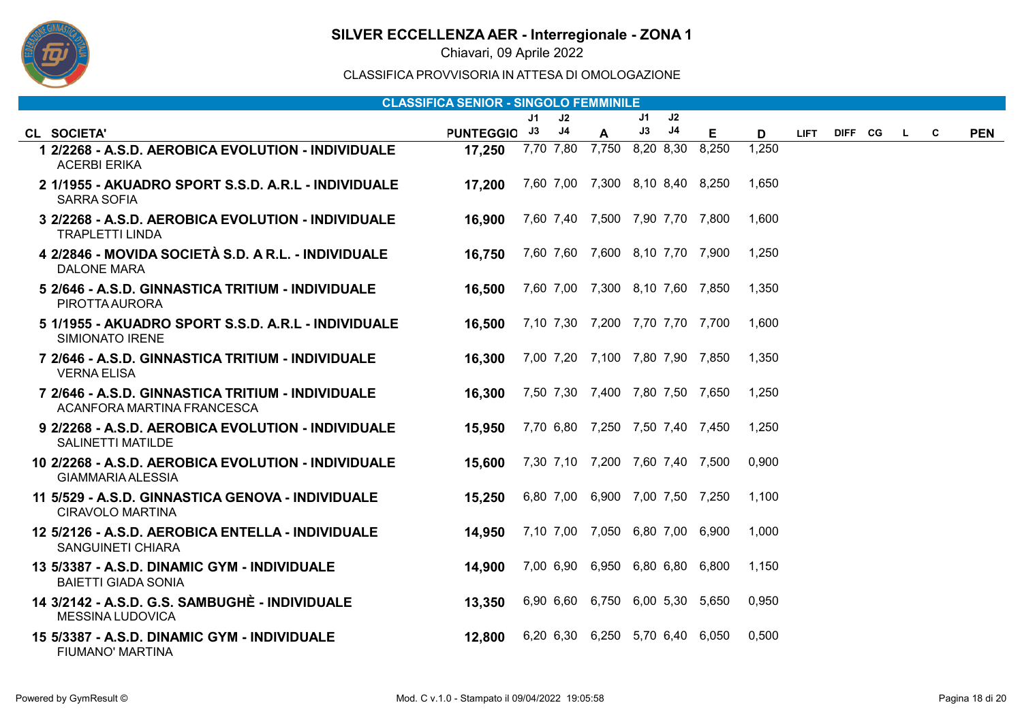

Chiavari, 09 Aprile 2022

| <b>CLASSIFICA SENIOR - SINGOLO FEMMINILE</b>                                    |              |    |                |                                 |    |    |       |       |             |         |  |    |   |            |
|---------------------------------------------------------------------------------|--------------|----|----------------|---------------------------------|----|----|-------|-------|-------------|---------|--|----|---|------------|
|                                                                                 |              | J1 | J2             |                                 | J1 | J2 |       |       |             |         |  |    |   |            |
| CL SOCIETA'                                                                     | PUNTEGGIO J3 |    | J <sub>4</sub> | A                               | J3 | J4 | E.    | D     | <b>LIFT</b> | DIFF CG |  | L. | C | <b>PEN</b> |
| 1 2/2268 - A.S.D. AEROBICA EVOLUTION - INDIVIDUALE<br><b>ACERBI ERIKA</b>       | 17,250       |    |                | 7,70 7,80 7,750 8,20 8,30       |    |    | 8,250 | 1,250 |             |         |  |    |   |            |
| 2 1/1955 - AKUADRO SPORT S.S.D. A.R.L - INDIVIDUALE<br><b>SARRA SOFIA</b>       | 17,200       |    |                | 7,60 7,00 7,300 8,10 8,40 8,250 |    |    |       | 1,650 |             |         |  |    |   |            |
| 3 2/2268 - A.S.D. AEROBICA EVOLUTION - INDIVIDUALE<br><b>TRAPLETTI LINDA</b>    | 16,900       |    |                | 7,60 7,40 7,500 7,90 7,70 7,800 |    |    |       | 1,600 |             |         |  |    |   |            |
| 4 2/2846 - MOVIDA SOCIETÀ S.D. A R.L. - INDIVIDUALE<br><b>DALONE MARA</b>       | 16,750       |    |                | 7,60 7,60 7,600 8,10 7,70 7,900 |    |    |       | 1,250 |             |         |  |    |   |            |
| 5 2/646 - A.S.D. GINNASTICA TRITIUM - INDIVIDUALE<br>PIROTTA AURORA             | 16,500       |    |                | 7,60 7,00 7,300 8,10 7,60 7,850 |    |    |       | 1.350 |             |         |  |    |   |            |
| 5 1/1955 - AKUADRO SPORT S.S.D. A.R.L - INDIVIDUALE<br><b>SIMIONATO IRENE</b>   | 16,500       |    |                | 7,10 7,30 7,200 7,70 7,70 7,700 |    |    |       | 1,600 |             |         |  |    |   |            |
| 7 2/646 - A.S.D. GINNASTICA TRITIUM - INDIVIDUALE<br><b>VERNA ELISA</b>         | 16,300       |    |                | 7,00 7,20 7,100 7,80 7,90 7,850 |    |    |       | 1,350 |             |         |  |    |   |            |
| 7 2/646 - A.S.D. GINNASTICA TRITIUM - INDIVIDUALE<br>ACANFORA MARTINA FRANCESCA | 16,300       |    |                | 7,50 7,30 7,400 7,80 7,50 7,650 |    |    |       | 1,250 |             |         |  |    |   |            |
| 9 2/2268 - A.S.D. AEROBICA EVOLUTION - INDIVIDUALE<br><b>SALINETTI MATILDE</b>  | 15,950       |    |                | 7,70 6,80 7,250 7,50 7,40 7,450 |    |    |       | 1,250 |             |         |  |    |   |            |
| 10 2/2268 - A.S.D. AEROBICA EVOLUTION - INDIVIDUALE<br><b>GIAMMARIA ALESSIA</b> | 15,600       |    |                | 7,30 7,10 7,200 7,60 7,40 7,500 |    |    |       | 0,900 |             |         |  |    |   |            |
| 11 5/529 - A.S.D. GINNASTICA GENOVA - INDIVIDUALE<br>CIRAVOLO MARTINA           | 15,250       |    |                | 6,80 7,00 6,900 7,00 7,50 7,250 |    |    |       | 1,100 |             |         |  |    |   |            |
| 12 5/2126 - A.S.D. AEROBICA ENTELLA - INDIVIDUALE<br><b>SANGUINETI CHIARA</b>   | 14,950       |    |                | 7,10 7,00 7,050 6,80 7,00 6,900 |    |    |       | 1.000 |             |         |  |    |   |            |
| 13 5/3387 - A.S.D. DINAMIC GYM - INDIVIDUALE<br><b>BAIETTI GIADA SONIA</b>      | 14,900       |    |                | 7,00 6,90 6,950 6,80 6,80 6,800 |    |    |       | 1,150 |             |         |  |    |   |            |
| 14 3/2142 - A.S.D. G.S. SAMBUGHÈ - INDIVIDUALE<br><b>MESSINA LUDOVICA</b>       | 13,350       |    |                | 6,90 6,60 6,750 6,00 5,30 5,650 |    |    |       | 0,950 |             |         |  |    |   |            |
| 15 5/3387 - A.S.D. DINAMIC GYM - INDIVIDUALE<br><b>FIUMANO' MARTINA</b>         | 12,800       |    |                | 6,20 6,30 6,250 5,70 6,40 6,050 |    |    |       | 0,500 |             |         |  |    |   |            |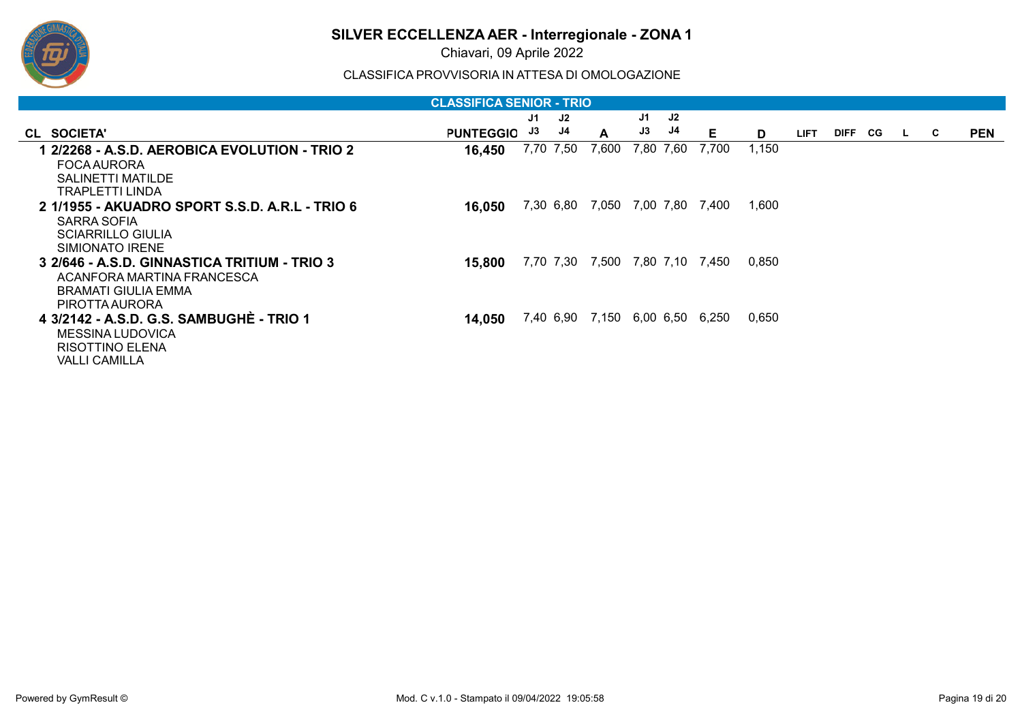

Chiavari, 09 Aprile 2022

| <b>CLASSIFICA SENIOR - TRIO</b>                |                  |    |           |                           |    |           |       |       |             |             |    |          |   |            |
|------------------------------------------------|------------------|----|-----------|---------------------------|----|-----------|-------|-------|-------------|-------------|----|----------|---|------------|
|                                                |                  | J1 | J2        |                           | J1 | J2        |       |       |             |             |    |          |   |            |
| CL SOCIETA'                                    | <b>PUNTEGGIO</b> | J3 | J4        | A                         | J3 | J4        | Е     | D     | <b>LIFT</b> | <b>DIFF</b> | CG | <b>L</b> | C | <b>PEN</b> |
| 1 2/2268 - A.S.D. AEROBICA EVOLUTION - TRIO 2  | 16,450           |    | 7,70 7,50 | 7,600                     |    | 7,80 7,60 | 7,700 | 1,150 |             |             |    |          |   |            |
| <b>FOCA AURORA</b>                             |                  |    |           |                           |    |           |       |       |             |             |    |          |   |            |
| SALINETTI MATILDE                              |                  |    |           |                           |    |           |       |       |             |             |    |          |   |            |
| <b>TRAPLETTI LINDA</b>                         |                  |    |           |                           |    |           |       |       |             |             |    |          |   |            |
| 2 1/1955 - AKUADRO SPORT S.S.D. A.R.L - TRIO 6 | 16,050           |    | 7,30 6,80 | 7,050 7,00 7,80           |    |           | 7,400 | 1,600 |             |             |    |          |   |            |
| SARRA SOFIA                                    |                  |    |           |                           |    |           |       |       |             |             |    |          |   |            |
| <b>SCIARRILLO GIULIA</b>                       |                  |    |           |                           |    |           |       |       |             |             |    |          |   |            |
| SIMIONATO IRENE                                |                  |    |           |                           |    |           |       |       |             |             |    |          |   |            |
| 3 2/646 - A.S.D. GINNASTICA TRITIUM - TRIO 3   | 15,800           |    | 7,70 7,30 | 7,500                     |    | 7,80 7,10 | 7,450 | 0.850 |             |             |    |          |   |            |
| ACANFORA MARTINA FRANCESCA                     |                  |    |           |                           |    |           |       |       |             |             |    |          |   |            |
| BRAMATI GIULIA EMMA                            |                  |    |           |                           |    |           |       |       |             |             |    |          |   |            |
| <b>PIROTTA AURORA</b>                          |                  |    |           |                           |    |           |       |       |             |             |    |          |   |            |
| 4 3/2142 - A.S.D. G.S. SAMBUGHE - TRIO 1       | 14,050           |    |           | 7,40 6,90 7,150 6,00 6,50 |    |           | 6.250 | 0,650 |             |             |    |          |   |            |
| <b>MESSINA LUDOVICA</b>                        |                  |    |           |                           |    |           |       |       |             |             |    |          |   |            |
| RISOTTINO ELENA                                |                  |    |           |                           |    |           |       |       |             |             |    |          |   |            |
| <b>VALLI CAMILLA</b>                           |                  |    |           |                           |    |           |       |       |             |             |    |          |   |            |